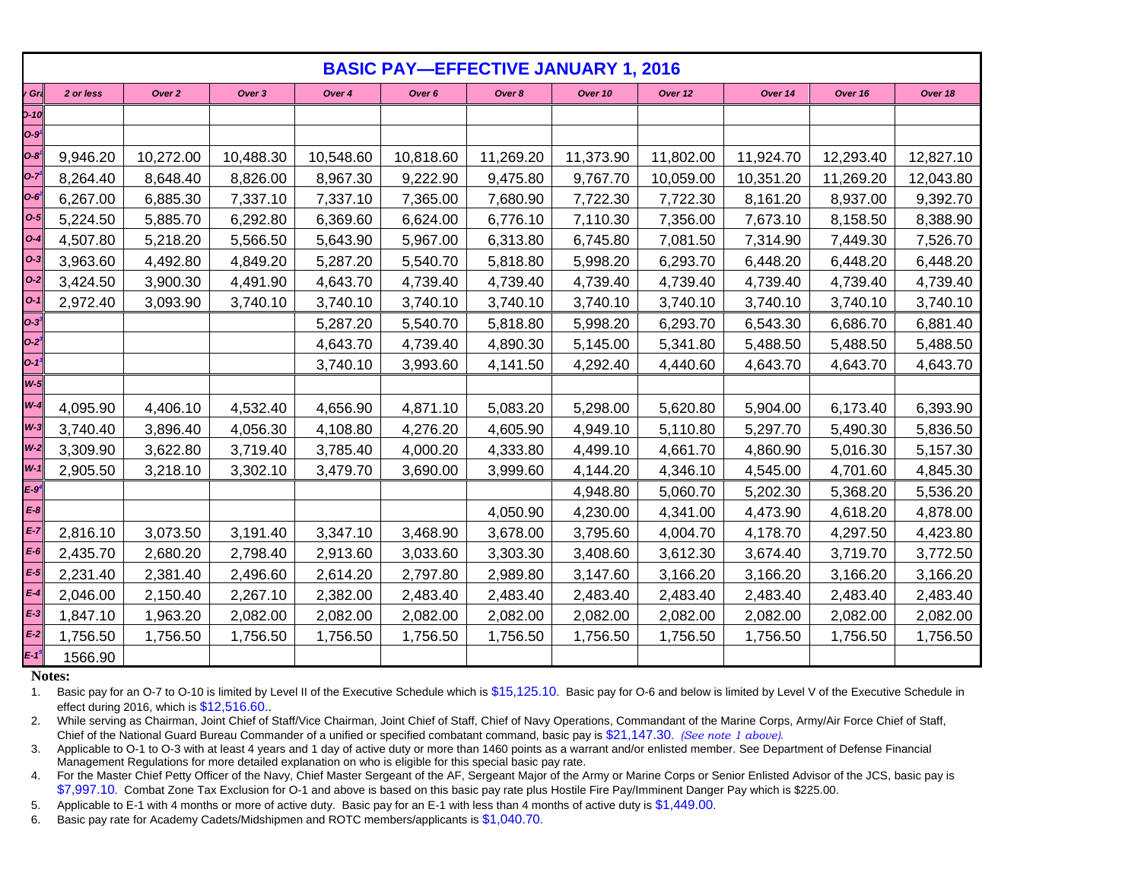|           |           |           |           |           |           | <b>BASIC PAY-EFFECTIVE JANUARY 1, 2016</b> |           |           |           |           |           |
|-----------|-----------|-----------|-----------|-----------|-----------|--------------------------------------------|-----------|-----------|-----------|-----------|-----------|
| v Gra     | 2 or less | Over 2    | Over 3    | Over 4    | Over 6    | Over 8                                     | Over 10   | Over 12   | Over 14   | Over 16   | Over 18   |
| $D-10$    |           |           |           |           |           |                                            |           |           |           |           |           |
| $O-91$    |           |           |           |           |           |                                            |           |           |           |           |           |
| $O - 81$  | 9,946.20  | 10,272.00 | 10,488.30 | 10,548.60 | 10,818.60 | 11,269.20                                  | 11,373.90 | 11,802.00 | 11,924.70 | 12,293.40 | 12,827.10 |
| $O-7$     | 8,264.40  | 8,648.40  | 8,826.00  | 8,967.30  | 9,222.90  | 9,475.80                                   | 9,767.70  | 10,059.00 | 10,351.20 | 11,269.20 | 12,043.80 |
| $0 - 6^2$ | 6,267.00  | 6,885.30  | 7,337.10  | 7,337.10  | 7,365.00  | 7,680.90                                   | 7,722.30  | 7,722.30  | 8,161.20  | 8,937.00  | 9,392.70  |
| $0-5$     | 5,224.50  | 5,885.70  | 6,292.80  | 6,369.60  | 6,624.00  | 6,776.10                                   | 7,110.30  | 7,356.00  | 7,673.10  | 8,158.50  | 8,388.90  |
| $O-4$     | 4,507.80  | 5,218.20  | 5,566.50  | 5,643.90  | 5,967.00  | 6,313.80                                   | 6,745.80  | 7,081.50  | 7,314.90  | 7,449.30  | 7,526.70  |
| $O-3$     | 3,963.60  | 4,492.80  | 4,849.20  | 5,287.20  | 5,540.70  | 5,818.80                                   | 5,998.20  | 6,293.70  | 6,448.20  | 6,448.20  | 6,448.20  |
| $O-2$     | 3,424.50  | 3,900.30  | 4,491.90  | 4,643.70  | 4,739.40  | 4,739.40                                   | 4,739.40  | 4,739.40  | 4,739.40  | 4,739.40  | 4,739.40  |
| $O-1$     | 2,972.40  | 3,093.90  | 3,740.10  | 3,740.10  | 3,740.10  | 3,740.10                                   | 3,740.10  | 3,740.10  | 3,740.10  | 3,740.10  | 3,740.10  |
| $0.3^{3}$ |           |           |           | 5,287.20  | 5,540.70  | 5,818.80                                   | 5,998.20  | 6,293.70  | 6,543.30  | 6,686.70  | 6,881.40  |
| $O-2^3$   |           |           |           | 4,643.70  | 4,739.40  | 4,890.30                                   | 5,145.00  | 5,341.80  | 5,488.50  | 5,488.50  | 5,488.50  |
| $O-1^3$   |           |           |           | 3,740.10  | 3,993.60  | 4,141.50                                   | 4,292.40  | 4,440.60  | 4,643.70  | 4,643.70  | 4,643.70  |
| $W-5$     |           |           |           |           |           |                                            |           |           |           |           |           |
| $W-4$     | 4,095.90  | 4,406.10  | 4,532.40  | 4,656.90  | 4,871.10  | 5,083.20                                   | 5,298.00  | 5,620.80  | 5,904.00  | 6,173.40  | 6,393.90  |
| $W-3$     | 3,740.40  | 3,896.40  | 4,056.30  | 4,108.80  | 4,276.20  | 4,605.90                                   | 4,949.10  | 5,110.80  | 5,297.70  | 5,490.30  | 5,836.50  |
| $W-2$     | 3,309.90  | 3,622.80  | 3,719.40  | 3,785.40  | 4,000.20  | 4,333.80                                   | 4,499.10  | 4,661.70  | 4,860.90  | 5,016.30  | 5,157.30  |
| $W-1$     | 2,905.50  | 3,218.10  | 3,302.10  | 3,479.70  | 3,690.00  | 3,999.60                                   | 4,144.20  | 4,346.10  | 4,545.00  | 4,701.60  | 4,845.30  |
| $E-94$    |           |           |           |           |           |                                            | 4,948.80  | 5,060.70  | 5,202.30  | 5,368.20  | 5,536.20  |
| $E-8$     |           |           |           |           |           | 4,050.90                                   | 4,230.00  | 4,341.00  | 4,473.90  | 4,618.20  | 4,878.00  |
| $E-7$     | 2,816.10  | 3,073.50  | 3,191.40  | 3,347.10  | 3,468.90  | 3,678.00                                   | 3,795.60  | 4,004.70  | 4,178.70  | 4,297.50  | 4,423.80  |
| E-6       | 2,435.70  | 2,680.20  | 2,798.40  | 2,913.60  | 3,033.60  | 3,303.30                                   | 3,408.60  | 3,612.30  | 3,674.40  | 3,719.70  | 3,772.50  |
| $E-5$     | 2,231.40  | 2,381.40  | 2,496.60  | 2,614.20  | 2,797.80  | 2,989.80                                   | 3,147.60  | 3,166.20  | 3,166.20  | 3,166.20  | 3,166.20  |
| $E-4$     | 2,046.00  | 2,150.40  | 2,267.10  | 2,382.00  | 2,483.40  | 2,483.40                                   | 2,483.40  | 2,483.40  | 2,483.40  | 2,483.40  | 2,483.40  |
| $E-3$     | 1,847.10  | 1,963.20  | 2,082.00  | 2,082.00  | 2,082.00  | 2,082.00                                   | 2,082.00  | 2,082.00  | 2,082.00  | 2,082.00  | 2,082.00  |
| $E-2$     | 1,756.50  | 1,756.50  | 1,756.50  | 1,756.50  | 1,756.50  | 1,756.50                                   | 1,756.50  | 1,756.50  | 1,756.50  | 1,756.50  | 1,756.50  |
| $E-1^5$   | 1566.90   |           |           |           |           |                                            |           |           |           |           |           |

## **Notes:**

1. Basic pay for an O-7 to O-10 is limited by Level II of the Executive Schedule which is \$15,125.10. Basic pay for O-6 and below is limited by Level V of the Executive Schedule in effect during 2016, which is \$12,516.60..

2. While serving as Chairman, Joint Chief of Staff/Vice Chairman, Joint Chief of Staff, Chief of Navy Operations, Commandant of the Marine Corps, Army/Air Force Chief of Staff, Chief of the National Guard Bureau Commander of a unified or specified combatant command, basic pay is \$21,147.30. *(See note 1 above)*.

3. Applicable to O-1 to O-3 with at least 4 years and 1 day of active duty or more than 1460 points as a warrant and/or enlisted member. See Department of Defense Financial Management Regulations for more detailed explanation on who is eligible for this special basic pay rate.

4. For the Master Chief Petty Officer of the Navy, Chief Master Sergeant of the AF, Sergeant Major of the Army or Marine Corps or Senior Enlisted Advisor of the JCS, basic pay is \$7,997.10. Combat Zone Tax Exclusion for O-1 and above is based on this basic pay rate plus Hostile Fire Pay/Imminent Danger Pay which is \$225.00.

5. Applicable to E-1 with 4 months or more of active duty. Basic pay for an E-1 with less than 4 months of active duty is \$1,449.00.

6. Basic pay rate for Academy Cadets/Midshipmen and ROTC members/applicants is \$1,040.70.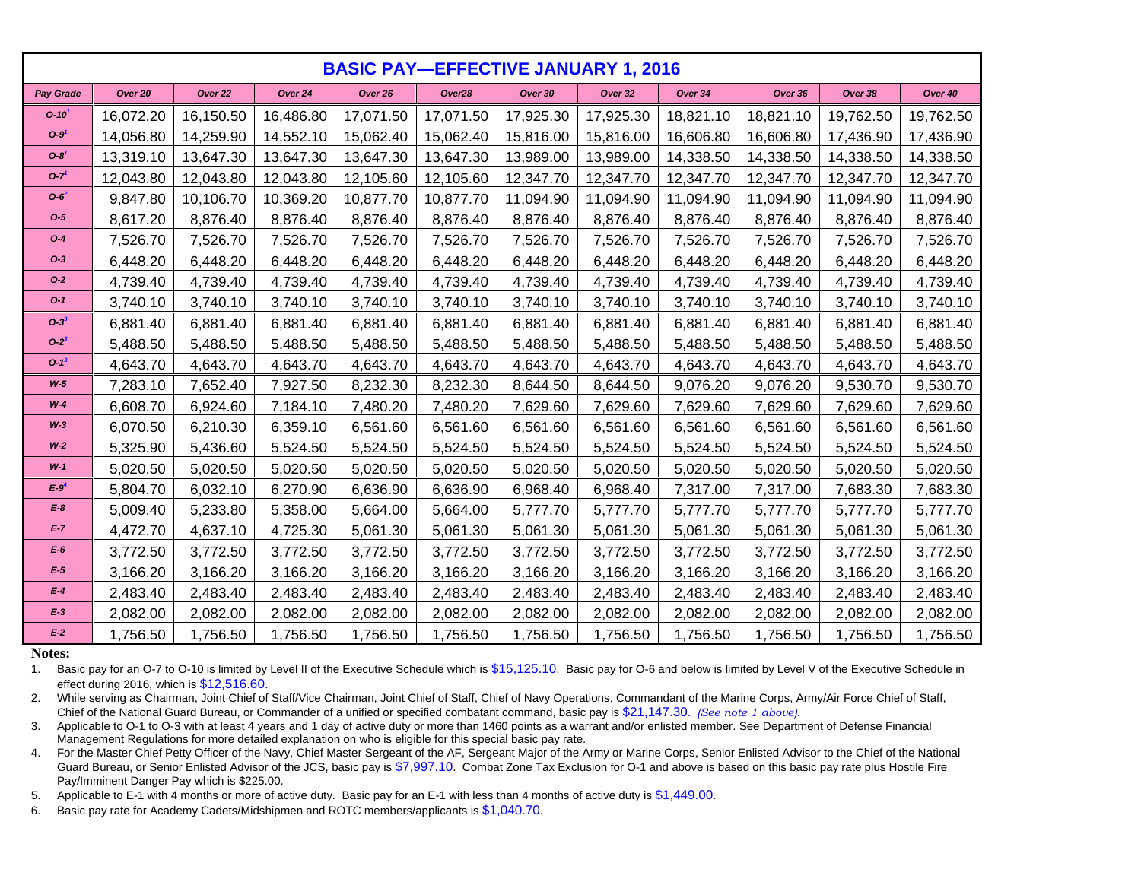|                  |           |           |           |           | <b>BASIC PAY-EFFECTIVE JANUARY 1, 2016</b> |           |           |           |           |           |           |
|------------------|-----------|-----------|-----------|-----------|--------------------------------------------|-----------|-----------|-----------|-----------|-----------|-----------|
| <b>Pay Grade</b> | Over 20   | Over 22   | Over 24   | Over 26   | Over28                                     | Over 30   | Over 32   | Over 34   | Over 36   | Over 38   | Over 40   |
| $O-10^{1}$       | 16,072.20 | 16,150.50 | 16,486.80 | 17,071.50 | 17,071.50                                  | 17,925.30 | 17,925.30 | 18,821.10 | 18,821.10 | 19,762.50 | 19,762.50 |
| $O-91$           | 14,056.80 | 14,259.90 | 14,552.10 | 15,062.40 | 15,062.40                                  | 15,816.00 | 15,816.00 | 16,606.80 | 16,606.80 | 17,436.90 | 17,436.90 |
| $0 - 81$         | 13,319.10 | 13,647.30 | 13,647.30 | 13,647.30 | 13,647.30                                  | 13,989.00 | 13,989.00 | 14,338.50 | 14,338.50 | 14,338.50 | 14,338.50 |
| $O - 71$         | 12,043.80 | 12,043.80 | 12,043.80 | 12,105.60 | 12,105.60                                  | 12,347.70 | 12,347.70 | 12,347.70 | 12,347.70 | 12,347.70 | 12,347.70 |
| $O - 6^2$        | 9,847.80  | 10,106.70 | 10,369.20 | 10,877.70 | 10,877.70                                  | 11,094.90 | 11,094.90 | 11,094.90 | 11,094.90 | 11,094.90 | 11,094.90 |
| $O-5$            | 8,617.20  | 8,876.40  | 8,876.40  | 8,876.40  | 8,876.40                                   | 8,876.40  | 8,876.40  | 8,876.40  | 8,876.40  | 8,876.40  | 8,876.40  |
| $O-4$            | 7,526.70  | 7,526.70  | 7,526.70  | 7,526.70  | 7,526.70                                   | 7,526.70  | 7,526.70  | 7,526.70  | 7,526.70  | 7,526.70  | 7,526.70  |
| $O-3$            | 6,448.20  | 6,448.20  | 6,448.20  | 6,448.20  | 6,448.20                                   | 6,448.20  | 6,448.20  | 6,448.20  | 6,448.20  | 6,448.20  | 6,448.20  |
| $O-2$            | 4,739.40  | 4,739.40  | 4,739.40  | 4,739.40  | 4,739.40                                   | 4,739.40  | 4,739.40  | 4,739.40  | 4,739.40  | 4,739.40  | 4,739.40  |
| $O-1$            | 3,740.10  | 3,740.10  | 3,740.10  | 3,740.10  | 3,740.10                                   | 3,740.10  | 3,740.10  | 3,740.10  | 3,740.10  | 3,740.10  | 3,740.10  |
| $O-3^3$          | 6,881.40  | 6,881.40  | 6,881.40  | 6,881.40  | 6,881.40                                   | 6,881.40  | 6,881.40  | 6,881.40  | 6,881.40  | 6,881.40  | 6,881.40  |
| $O-2^3$          | 5,488.50  | 5,488.50  | 5,488.50  | 5,488.50  | 5,488.50                                   | 5,488.50  | 5,488.50  | 5,488.50  | 5,488.50  | 5,488.50  | 5,488.50  |
| $O-1^3$          | 4,643.70  | 4,643.70  | 4,643.70  | 4,643.70  | 4,643.70                                   | 4,643.70  | 4,643.70  | 4,643.70  | 4,643.70  | 4,643.70  | 4,643.70  |
| $W-5$            | 7,283.10  | 7,652.40  | 7,927.50  | 8,232.30  | 8,232.30                                   | 8,644.50  | 8,644.50  | 9,076.20  | 9,076.20  | 9,530.70  | 9,530.70  |
| $W-4$            | 6,608.70  | 6,924.60  | 7,184.10  | 7,480.20  | 7,480.20                                   | 7,629.60  | 7,629.60  | 7,629.60  | 7,629.60  | 7,629.60  | 7,629.60  |
| $W-3$            | 6,070.50  | 6,210.30  | 6,359.10  | 6,561.60  | 6,561.60                                   | 6,561.60  | 6,561.60  | 6,561.60  | 6,561.60  | 6,561.60  | 6,561.60  |
| $W-2$            | 5,325.90  | 5,436.60  | 5,524.50  | 5,524.50  | 5,524.50                                   | 5,524.50  | 5,524.50  | 5,524.50  | 5,524.50  | 5,524.50  | 5,524.50  |
| $W-1$            | 5,020.50  | 5,020.50  | 5,020.50  | 5,020.50  | 5,020.50                                   | 5,020.50  | 5,020.50  | 5,020.50  | 5,020.50  | 5,020.50  | 5,020.50  |
| E.9 <sup>4</sup> | 5,804.70  | 6,032.10  | 6,270.90  | 6,636.90  | 6,636.90                                   | 6,968.40  | 6,968.40  | 7,317.00  | 7,317.00  | 7,683.30  | 7,683.30  |
| $E-8$            | 5,009.40  | 5,233.80  | 5,358.00  | 5,664.00  | 5,664.00                                   | 5,777.70  | 5,777.70  | 5,777.70  | 5,777.70  | 5,777.70  | 5,777.70  |
| $E-7$            | 4,472.70  | 4,637.10  | 4,725.30  | 5,061.30  | 5,061.30                                   | 5,061.30  | 5,061.30  | 5,061.30  | 5,061.30  | 5,061.30  | 5,061.30  |
| $E-6$            | 3,772.50  | 3,772.50  | 3,772.50  | 3,772.50  | 3,772.50                                   | 3,772.50  | 3,772.50  | 3,772.50  | 3,772.50  | 3,772.50  | 3,772.50  |
| $E-5$            | 3,166.20  | 3,166.20  | 3,166.20  | 3,166.20  | 3,166.20                                   | 3,166.20  | 3,166.20  | 3,166.20  | 3,166.20  | 3,166.20  | 3,166.20  |
| $E-4$            | 2,483.40  | 2,483.40  | 2,483.40  | 2,483.40  | 2,483.40                                   | 2,483.40  | 2,483.40  | 2,483.40  | 2,483.40  | 2,483.40  | 2,483.40  |
| $E-3$            | 2,082.00  | 2,082.00  | 2,082.00  | 2,082.00  | 2,082.00                                   | 2,082.00  | 2,082.00  | 2,082.00  | 2,082.00  | 2,082.00  | 2,082.00  |
| $E-2$            | 1,756.50  | 1,756.50  | 1,756.50  | 1,756.50  | 1,756.50                                   | 1,756.50  | 1,756.50  | 1,756.50  | 1,756.50  | 1,756.50  | 1,756.50  |

## **Notes:**

1. Basic pay for an O-7 to O-10 is limited by Level II of the Executive Schedule which is \$15,125.10. Basic pay for O-6 and below is limited by Level V of the Executive Schedule in effect during 2016, which is \$12,516.60.

2. While serving as Chairman, Joint Chief of Staff/Vice Chairman, Joint Chief of Staff, Chief of Navy Operations, Commandant of the Marine Corps, Army/Air Force Chief of Staff, Chief of the National Guard Bureau, or Commander of a unified or specified combatant command, basic pay is \$21,147.30. *(See note 1 above)*.

3. Applicable to O-1 to O-3 with at least 4 years and 1 day of active duty or more than 1460 points as a warrant and/or enlisted member. See Department of Defense Financial Management Regulations for more detailed explanation on who is eligible for this special basic pay rate.

4. For the Master Chief Petty Officer of the Navy, Chief Master Sergeant of the AF, Sergeant Major of the Army or Marine Corps, Senior Enlisted Advisor to the Chief of the National Guard Bureau, or Senior Enlisted Advisor of the JCS, basic pay is \$7,997.10. Combat Zone Tax Exclusion for O-1 and above is based on this basic pay rate plus Hostile Fire Pay/Imminent Danger Pay which is \$225.00.

5. Applicable to E-1 with 4 months or more of active duty. Basic pay for an E-1 with less than 4 months of active duty is \$1,449.00.

6. Basic pay rate for Academy Cadets/Midshipmen and ROTC members/applicants is \$1,040.70.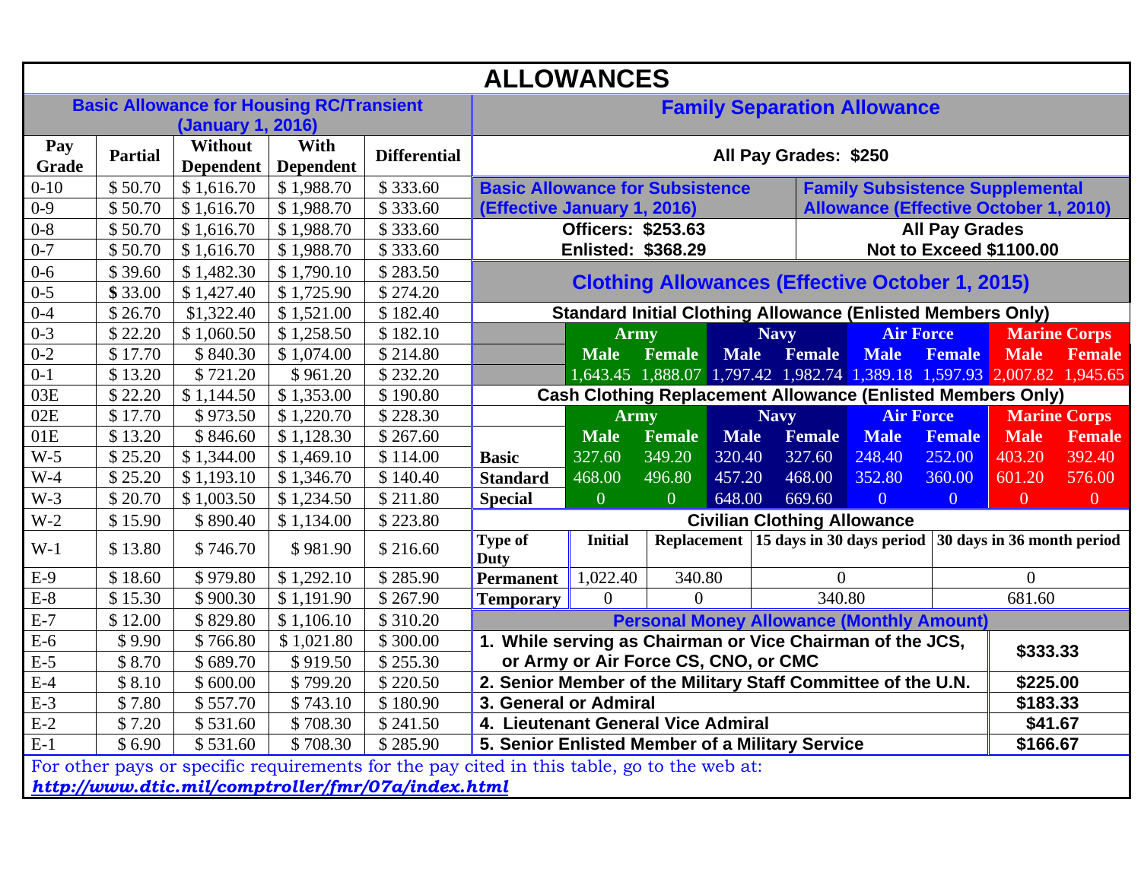|              |                |                             |                                                 |                                                                                            | <b>ALLOWANCES</b>                                            |                                      |                |             |                                                                         |                                              |                       |                            |                     |
|--------------|----------------|-----------------------------|-------------------------------------------------|--------------------------------------------------------------------------------------------|--------------------------------------------------------------|--------------------------------------|----------------|-------------|-------------------------------------------------------------------------|----------------------------------------------|-----------------------|----------------------------|---------------------|
|              |                |                             | <b>Basic Allowance for Housing RC/Transient</b> |                                                                                            |                                                              |                                      |                |             | <b>Family Separation Allowance</b>                                      |                                              |                       |                            |                     |
|              |                | (January 1, 2016)           |                                                 |                                                                                            |                                                              |                                      |                |             |                                                                         |                                              |                       |                            |                     |
| Pay<br>Grade | <b>Partial</b> | Without<br><b>Dependent</b> | With<br><b>Dependent</b>                        | <b>Differential</b>                                                                        |                                                              |                                      |                |             | All Pay Grades: \$250                                                   |                                              |                       |                            |                     |
| $0 - 10$     | \$50.70        | \$1,616.70                  | \$1,988.70                                      | \$333.60                                                                                   | <b>Basic Allowance for Subsistence</b>                       |                                      |                |             |                                                                         | <b>Family Subsistence Supplemental</b>       |                       |                            |                     |
| $0-9$        | \$50.70        | \$1,616.70                  | \$1,988.70                                      | \$333.60                                                                                   | (Effective January 1, 2016)                                  |                                      |                |             |                                                                         | <b>Allowance (Effective October 1, 2010)</b> |                       |                            |                     |
| $0 - 8$      | \$50.70        | \$1,616.70                  | \$1,988.70                                      | \$333.60                                                                                   |                                                              | <b>Officers: \$253.63</b>            |                |             |                                                                         |                                              | <b>All Pay Grades</b> |                            |                     |
| $0 - 7$      | \$50.70        | \$1,616.70                  | \$1,988.70                                      | \$333.60                                                                                   |                                                              | <b>Enlisted: \$368.29</b>            |                |             |                                                                         |                                              |                       | Not to Exceed \$1100.00    |                     |
| $0-6$        | \$39.60        | \$1,482.30                  | \$1,790.10                                      | \$283.50                                                                                   |                                                              |                                      |                |             |                                                                         |                                              |                       |                            |                     |
| $0 - 5$      | \$33.00        | \$1,427.40                  | \$1,725.90                                      | \$274.20                                                                                   |                                                              |                                      |                |             | <b>Clothing Allowances (Effective October 1, 2015)</b>                  |                                              |                       |                            |                     |
| $0 - 4$      | \$26.70        | \$1,322.40                  | \$1,521.00                                      | \$182.40                                                                                   |                                                              |                                      |                |             | <b>Standard Initial Clothing Allowance (Enlisted Members Only)</b>      |                                              |                       |                            |                     |
| $0 - 3$      | \$22.20        | \$1,060.50                  | \$1,258.50                                      | \$182.10                                                                                   |                                                              | <b>Army</b>                          |                |             | <b>Navy</b>                                                             | <b>Air Force</b>                             |                       |                            | <b>Marine Corps</b> |
| $0 - 2$      | \$17.70        | \$840.30                    | \$1,074.00                                      | \$214.80                                                                                   |                                                              | <b>Male</b>                          | Female         | <b>Male</b> | <b>Female</b>                                                           | <b>Male</b>                                  | <b>Female</b>         | <b>Male</b>                | <b>Female</b>       |
| $0-1$        | \$13.20        | \$721.20                    | \$961.20                                        | \$232.20                                                                                   |                                                              |                                      |                |             | 1,643.45 1,888.07 1,797.42 1,982.74 1,389.18 1,597.93 2,007.82 1,945.65 |                                              |                       |                            |                     |
| 03E          | \$22.20        | \$1,144.50                  | \$1,353.00                                      | \$190.80                                                                                   |                                                              |                                      |                |             | <b>Cash Clothing Replacement Allowance (Enlisted Members Only)</b>      |                                              |                       |                            |                     |
| 02E          | \$17.70        | \$973.50                    | \$1,220.70                                      | \$228.30                                                                                   |                                                              | <b>Army</b>                          |                |             | <b>Navy</b>                                                             | <b>Air Force</b>                             |                       |                            | <b>Marine Corps</b> |
| 01E          | \$13.20        | \$846.60                    | \$1,128.30                                      | \$267.60                                                                                   |                                                              | <b>Male</b>                          | <b>Female</b>  | <b>Male</b> | <b>Female</b>                                                           | <b>Male</b>                                  | <b>Female</b>         | <b>Male</b>                | Female              |
| $W-5$        | \$25.20        | \$1,344.00                  | \$1,469.10                                      | \$114.00                                                                                   | <b>Basic</b>                                                 | 327.60                               | 349.20         | 320.40      | 327.60                                                                  | 248.40                                       | 252.00                | 403.20                     | 392.40              |
| $W-4$        | \$25.20        | \$1,193.10                  | \$1,346.70                                      | \$140.40                                                                                   | <b>Standard</b>                                              | 468.00                               | 496.80         | 457.20      | 468.00                                                                  | 352.80                                       | 360.00                | 601.20                     | 576.00              |
| $W-3$        | \$20.70        | \$1,003.50                  | \$1,234.50                                      | \$211.80                                                                                   | <b>Special</b>                                               | $\overline{0}$                       | $\overline{0}$ | 648.00      | 669.60                                                                  | $\overline{0}$                               | $\overline{0}$        | $\overline{0}$             | $\overline{0}$      |
| $W-2$        | \$15.90        | \$890.40                    | \$1,134.00                                      | \$223.80                                                                                   |                                                              |                                      |                |             | <b>Civilian Clothing Allowance</b>                                      |                                              |                       |                            |                     |
|              |                |                             |                                                 |                                                                                            | Type of                                                      | <b>Initial</b>                       |                |             | Replacement 15 days in 30 days period                                   |                                              |                       | 30 days in 36 month period |                     |
| $W-1$        | \$13.80        | \$746.70                    | \$981.90                                        | \$216.60                                                                                   | <b>Duty</b>                                                  |                                      |                |             |                                                                         |                                              |                       |                            |                     |
| $E-9$        | \$18.60        | \$979.80                    | \$1,292.10                                      | \$285.90                                                                                   | <b>Permanent</b>                                             | 1,022.40                             | 340.80         |             | $\overline{0}$                                                          |                                              |                       | $\overline{0}$             |                     |
| $E-8$        | \$15.30        | \$900.30                    | \$1,191.90                                      | \$267.90                                                                                   | <b>Temporary</b>                                             | $\overline{0}$                       | $\theta$       |             | 340.80                                                                  |                                              |                       | 681.60                     |                     |
| $E-7$        | \$12.00        | \$829.80                    | \$1,106.10                                      | \$310.20                                                                                   |                                                              |                                      |                |             | <b>Personal Money Allowance (Monthly Amount)</b>                        |                                              |                       |                            |                     |
| $E-6$        | \$9.90         | \$766.80                    | \$1,021.80                                      | \$300.00                                                                                   | 1. While serving as Chairman or Vice Chairman of the JCS,    |                                      |                |             |                                                                         |                                              |                       | \$333.33                   |                     |
| $E-5$        | \$8.70         | \$689.70                    | \$919.50                                        | \$255.30                                                                                   |                                                              | or Army or Air Force CS, CNO, or CMC |                |             |                                                                         |                                              |                       |                            |                     |
| $E-4$        | \$8.10         | \$600.00                    | \$799.20                                        | \$220.50                                                                                   | 2. Senior Member of the Military Staff Committee of the U.N. |                                      |                |             |                                                                         |                                              |                       | \$225.00                   |                     |
| $E-3$        | \$7.80         | \$557.70                    | \$743.10                                        | \$180.90                                                                                   | 3. General or Admiral                                        |                                      |                |             |                                                                         |                                              |                       | \$183.33                   |                     |
| $E-2$        | \$7.20         | \$531.60                    | \$708.30                                        | \$241.50                                                                                   | 4. Lieutenant General Vice Admiral                           |                                      |                |             |                                                                         |                                              |                       | \$41.67                    |                     |
| $E-1$        | \$6.90         | \$531.60                    | \$708.30                                        | \$285.90                                                                                   | 5. Senior Enlisted Member of a Military Service              |                                      |                |             |                                                                         |                                              |                       | \$166.67                   |                     |
|              |                |                             |                                                 | For other pays or specific requirements for the pay cited in this table, go to the web at: |                                                              |                                      |                |             |                                                                         |                                              |                       |                            |                     |
|              |                |                             |                                                 | http://www.dtic.mil/comptroller/fmr/07a/index.html                                         |                                                              |                                      |                |             |                                                                         |                                              |                       |                            |                     |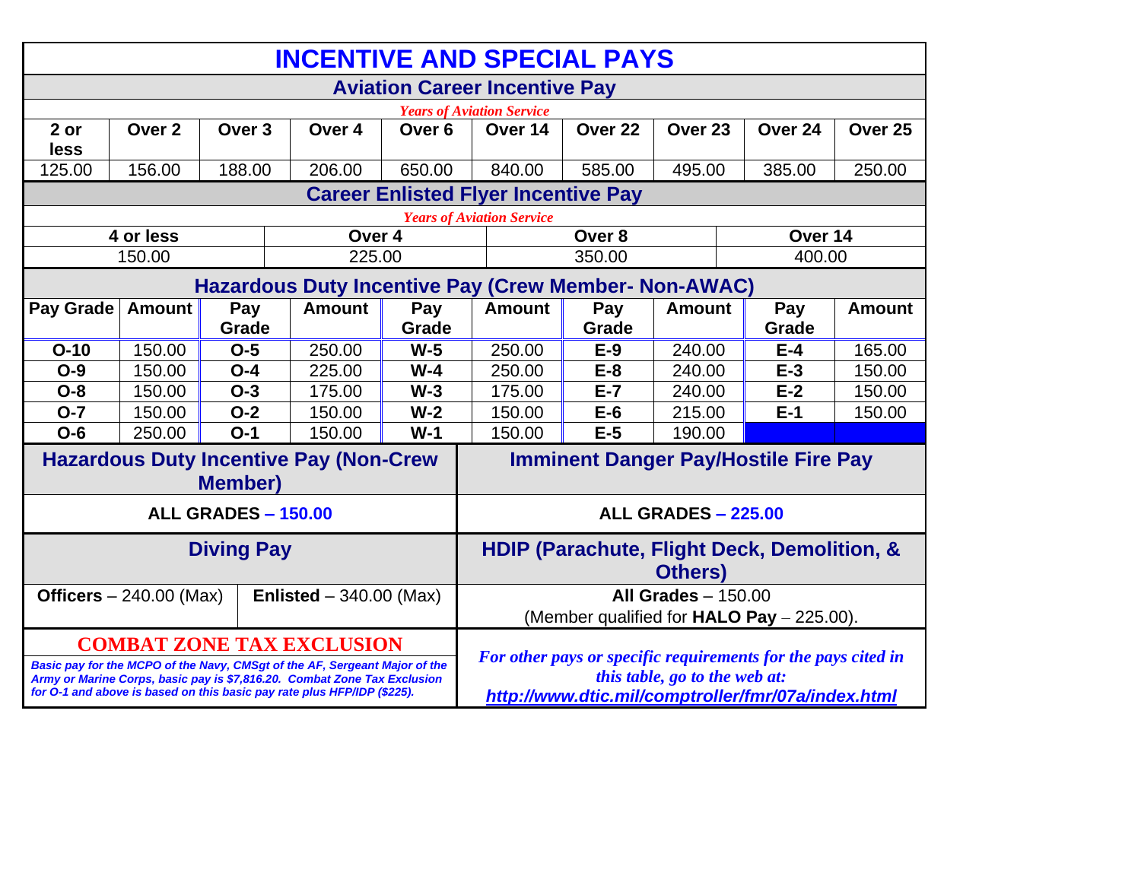|              |                          |                     | <b>INCENTIVE AND SPECIAL PAYS</b>                                                                                                                                                                                                                                     |                   |                                            |                    |                               |                                                                                                                     |                    |
|--------------|--------------------------|---------------------|-----------------------------------------------------------------------------------------------------------------------------------------------------------------------------------------------------------------------------------------------------------------------|-------------------|--------------------------------------------|--------------------|-------------------------------|---------------------------------------------------------------------------------------------------------------------|--------------------|
|              |                          |                     |                                                                                                                                                                                                                                                                       |                   | <b>Aviation Career Incentive Pay</b>       |                    |                               |                                                                                                                     |                    |
|              |                          |                     |                                                                                                                                                                                                                                                                       |                   | <b>Years of Aviation Service</b>           |                    |                               |                                                                                                                     |                    |
| 2 or<br>less | Over 2                   | Over 3              | Over 4                                                                                                                                                                                                                                                                | Over <sub>6</sub> | Over 14                                    | Over <sub>22</sub> | Over <sub>23</sub>            | Over 24                                                                                                             | Over <sub>25</sub> |
| 125.00       | 156.00                   | 188.00              | 206.00                                                                                                                                                                                                                                                                | 650.00            | 840.00                                     | 585.00             | 495.00                        | 385.00                                                                                                              | 250.00             |
|              |                          |                     |                                                                                                                                                                                                                                                                       |                   | <b>Career Enlisted Flyer Incentive Pay</b> |                    |                               |                                                                                                                     |                    |
|              |                          |                     |                                                                                                                                                                                                                                                                       |                   | <b>Years of Aviation Service</b>           |                    |                               |                                                                                                                     |                    |
|              | 4 or less                |                     | Over 4                                                                                                                                                                                                                                                                |                   |                                            | Over 8             |                               | Over 14                                                                                                             |                    |
|              | 150.00                   |                     | 225.00                                                                                                                                                                                                                                                                |                   |                                            | 350.00             |                               | 400.00                                                                                                              |                    |
|              |                          |                     | <b>Hazardous Duty Incentive Pay (Crew Member- Non-AWAC)</b>                                                                                                                                                                                                           |                   |                                            |                    |                               |                                                                                                                     |                    |
| Pay Grade    | <b>Amount</b>            | Pay<br>Grade        | <b>Amount</b>                                                                                                                                                                                                                                                         | Pay<br>Grade      | <b>Amount</b>                              | Pay<br>Grade       | <b>Amount</b>                 | Pay<br>Grade                                                                                                        | <b>Amount</b>      |
| $O-10$       | 150.00                   | $O-5$               | 250.00                                                                                                                                                                                                                                                                | $W-5$             | 250.00                                     | $E-9$              | 240.00                        | $E-4$                                                                                                               | 165.00             |
| $O-9$        | 150.00                   | $O - 4$             | 225.00                                                                                                                                                                                                                                                                | $W-4$             | 250.00                                     | $E-8$              | 240.00                        | $E-3$                                                                                                               | 150.00             |
| $O-8$        | 150.00                   | $O-3$               | 175.00                                                                                                                                                                                                                                                                | $W-3$             | 175.00                                     | $E-7$              | 240.00                        | $E-2$                                                                                                               | 150.00             |
| $O-7$        | 150.00                   | $O-2$               | 150.00                                                                                                                                                                                                                                                                | $W-2$             | 150.00                                     | $E-6$              | 215.00                        | $E-1$                                                                                                               | 150.00             |
| $O-6$        | 250.00                   | $O-1$               | 150.00                                                                                                                                                                                                                                                                | $W-1$             | 150.00                                     | $E-5$              | 190.00                        |                                                                                                                     |                    |
|              |                          | <b>Member)</b>      | <b>Hazardous Duty Incentive Pay (Non-Crew</b>                                                                                                                                                                                                                         |                   |                                            |                    |                               | <b>Imminent Danger Pay/Hostile Fire Pay</b>                                                                         |                    |
|              |                          | ALL GRADES - 150.00 |                                                                                                                                                                                                                                                                       |                   |                                            |                    | <b>ALL GRADES - 225.00</b>    |                                                                                                                     |                    |
|              |                          | <b>Diving Pay</b>   |                                                                                                                                                                                                                                                                       |                   |                                            |                    | <b>Others</b> )               | HDIP (Parachute, Flight Deck, Demolition, &                                                                         |                    |
|              | Officers $-240.00$ (Max) |                     | Enlisted $-340.00$ (Max)                                                                                                                                                                                                                                              |                   |                                            |                    | All Grades $-150.00$          | (Member qualified for <b>HALO Pay</b> $- 225.00$ ).                                                                 |                    |
|              |                          |                     | <b>COMBAT ZONE TAX EXCLUSION</b><br>Basic pay for the MCPO of the Navy, CMSgt of the AF, Sergeant Major of the<br>Army or Marine Corps, basic pay is \$7,816.20. Combat Zone Tax Exclusion<br>for O-1 and above is based on this basic pay rate plus HFP/IDP (\$225). |                   |                                            |                    | this table, go to the web at: | For other pays or specific requirements for the pays cited in<br>http://www.dtic.mil/comptroller/fmr/07a/index.html |                    |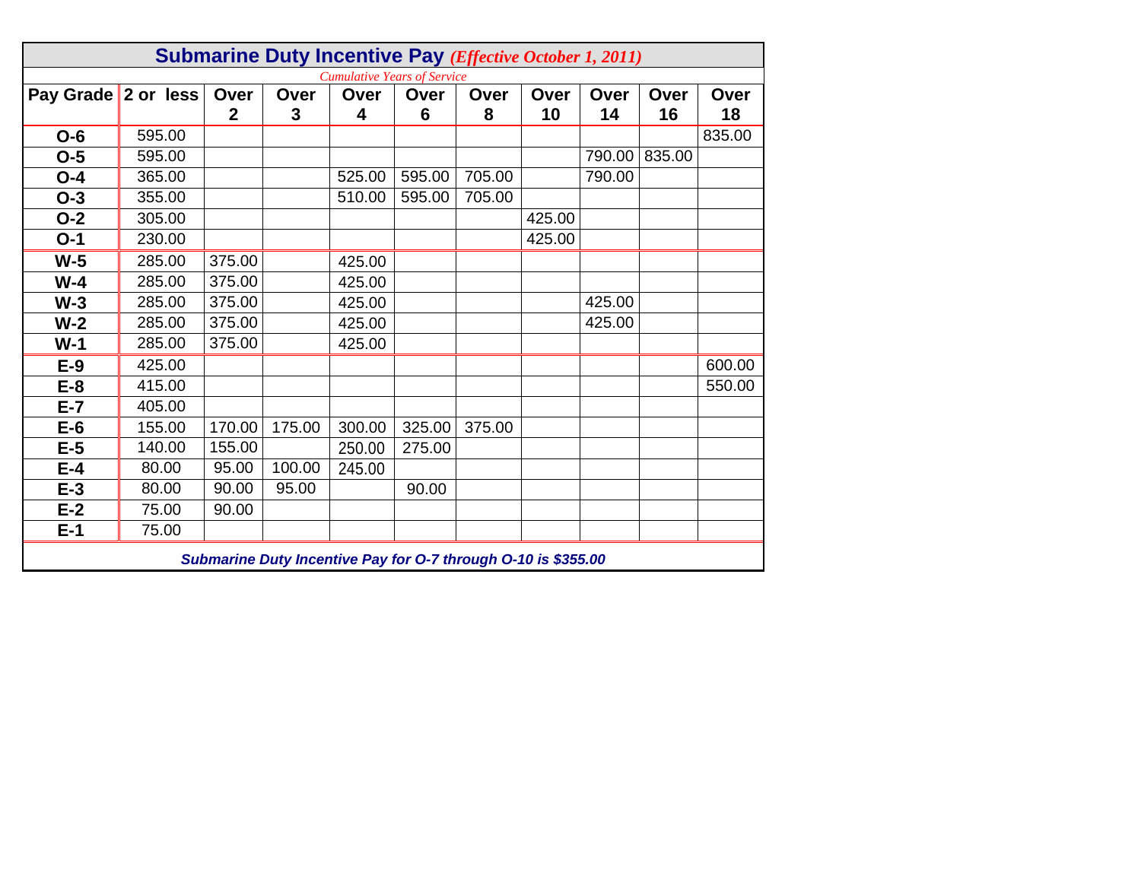|                     |        |              | <b>Submarine Duty Incentive Pay (Effective October 1, 2011)</b> |                                    |        |        |        |        |        |        |
|---------------------|--------|--------------|-----------------------------------------------------------------|------------------------------------|--------|--------|--------|--------|--------|--------|
|                     |        |              |                                                                 | <b>Cumulative Years of Service</b> |        |        |        |        |        |        |
| Pay Grade 2 or less |        | Over         | Over                                                            | Over                               | Over   | Over   | Over   | Over   | Over   | Over   |
|                     |        | $\mathbf{2}$ | 3                                                               | 4                                  | 6      | 8      | 10     | 14     | 16     | 18     |
| $O-6$               | 595.00 |              |                                                                 |                                    |        |        |        |        |        | 835.00 |
| $O-5$               | 595.00 |              |                                                                 |                                    |        |        |        | 790.00 | 835.00 |        |
| $O - 4$             | 365.00 |              |                                                                 | 525.00                             | 595.00 | 705.00 |        | 790.00 |        |        |
| $O-3$               | 355.00 |              |                                                                 | 510.00                             | 595.00 | 705.00 |        |        |        |        |
| $O-2$               | 305.00 |              |                                                                 |                                    |        |        | 425.00 |        |        |        |
| $O-1$               | 230.00 |              |                                                                 |                                    |        |        | 425.00 |        |        |        |
| $W-5$               | 285.00 | 375.00       |                                                                 | 425.00                             |        |        |        |        |        |        |
| $W-4$               | 285.00 | 375.00       |                                                                 | 425.00                             |        |        |        |        |        |        |
| $W-3$               | 285.00 | 375.00       |                                                                 | 425.00                             |        |        |        | 425.00 |        |        |
| $W-2$               | 285.00 | 375.00       |                                                                 | 425.00                             |        |        |        | 425.00 |        |        |
| $W-1$               | 285.00 | 375.00       |                                                                 | 425.00                             |        |        |        |        |        |        |
| $E-9$               | 425.00 |              |                                                                 |                                    |        |        |        |        |        | 600.00 |
| $E-8$               | 415.00 |              |                                                                 |                                    |        |        |        |        |        | 550.00 |
| $E-7$               | 405.00 |              |                                                                 |                                    |        |        |        |        |        |        |
| $E-6$               | 155.00 | 170.00       | 175.00                                                          | 300.00                             | 325.00 | 375.00 |        |        |        |        |
| $E-5$               | 140.00 | 155.00       |                                                                 | 250.00                             | 275.00 |        |        |        |        |        |
| $E-4$               | 80.00  | 95.00        | 100.00                                                          | 245.00                             |        |        |        |        |        |        |
| $E-3$               | 80.00  | 90.00        | 95.00                                                           |                                    | 90.00  |        |        |        |        |        |
| $E-2$               | 75.00  | 90.00        |                                                                 |                                    |        |        |        |        |        |        |
| $E-1$               | 75.00  |              |                                                                 |                                    |        |        |        |        |        |        |
|                     |        |              |                                                                 |                                    |        |        |        |        |        |        |

*Submarine Duty Incentive Pay for O-7 through O-10 is \$355.00*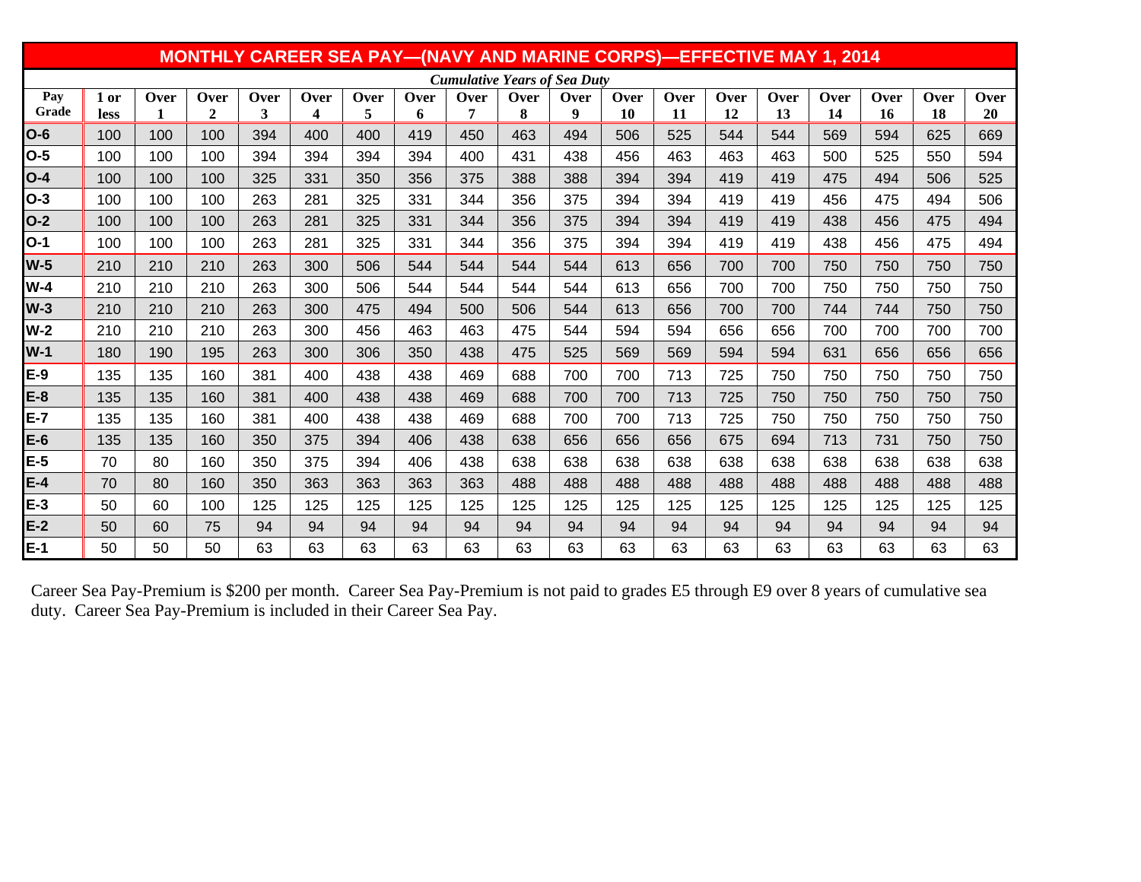|            |             |      | <b>MONTHLY CAREER SEA PAY-(NAVY AND MARINE CORPS)-EFFECTIVE MAY 1, 2014</b> |      |      |      |      |      |                                     |      |           |      |      |      |      |           |      |      |
|------------|-------------|------|-----------------------------------------------------------------------------|------|------|------|------|------|-------------------------------------|------|-----------|------|------|------|------|-----------|------|------|
|            |             |      |                                                                             |      |      |      |      |      | <b>Cumulative Years of Sea Duty</b> |      |           |      |      |      |      |           |      |      |
| Pav        | 1 or        | Over | Over                                                                        | Over | Over | Over | Over | Over | Over                                | Over | Over      | Over | Over | Over | Over | Over      | Over | Over |
| Grade      | <b>less</b> |      | $\boldsymbol{2}$                                                            | 3    | 4    | 5    | 6    | 7    | 8                                   | 9    | <b>10</b> | 11   | 12   | 13   | 14   | <b>16</b> | 18   | 20   |
| $IO-6$     | 100         | 100  | 100                                                                         | 394  | 400  | 400  | 419  | 450  | 463                                 | 494  | 506       | 525  | 544  | 544  | 569  | 594       | 625  | 669  |
| $O-5$      | 100         | 100  | 100                                                                         | 394  | 394  | 394  | 394  | 400  | 431                                 | 438  | 456       | 463  | 463  | 463  | 500  | 525       | 550  | 594  |
| $O-4$      | 100         | 100  | 100                                                                         | 325  | 331  | 350  | 356  | 375  | 388                                 | 388  | 394       | 394  | 419  | 419  | 475  | 494       | 506  | 525  |
| $O-3$      | 100         | 100  | 100                                                                         | 263  | 281  | 325  | 331  | 344  | 356                                 | 375  | 394       | 394  | 419  | 419  | 456  | 475       | 494  | 506  |
| $O-2$      | 100         | 100  | 100                                                                         | 263  | 281  | 325  | 331  | 344  | 356                                 | 375  | 394       | 394  | 419  | 419  | 438  | 456       | 475  | 494  |
| $O-1$      | 100         | 100  | 100                                                                         | 263  | 281  | 325  | 331  | 344  | 356                                 | 375  | 394       | 394  | 419  | 419  | 438  | 456       | 475  | 494  |
| $W-5$      | 210         | 210  | 210                                                                         | 263  | 300  | 506  | 544  | 544  | 544                                 | 544  | 613       | 656  | 700  | 700  | 750  | 750       | 750  | 750  |
| $W-4$      | 210         | 210  | 210                                                                         | 263  | 300  | 506  | 544  | 544  | 544                                 | 544  | 613       | 656  | 700  | 700  | 750  | 750       | 750  | 750  |
| <b>W-3</b> | 210         | 210  | 210                                                                         | 263  | 300  | 475  | 494  | 500  | 506                                 | 544  | 613       | 656  | 700  | 700  | 744  | 744       | 750  | 750  |
| <b>W-2</b> | 210         | 210  | 210                                                                         | 263  | 300  | 456  | 463  | 463  | 475                                 | 544  | 594       | 594  | 656  | 656  | 700  | 700       | 700  | 700  |
| <b>W-1</b> | 180         | 190  | 195                                                                         | 263  | 300  | 306  | 350  | 438  | 475                                 | 525  | 569       | 569  | 594  | 594  | 631  | 656       | 656  | 656  |
| E-9        | 135         | 135  | 160                                                                         | 381  | 400  | 438  | 438  | 469  | 688                                 | 700  | 700       | 713  | 725  | 750  | 750  | 750       | 750  | 750  |
| E-8        | 135         | 135  | 160                                                                         | 381  | 400  | 438  | 438  | 469  | 688                                 | 700  | 700       | 713  | 725  | 750  | 750  | 750       | 750  | 750  |
| E-7        | 135         | 135  | 160                                                                         | 381  | 400  | 438  | 438  | 469  | 688                                 | 700  | 700       | 713  | 725  | 750  | 750  | 750       | 750  | 750  |
| $E-6$      | 135         | 135  | 160                                                                         | 350  | 375  | 394  | 406  | 438  | 638                                 | 656  | 656       | 656  | 675  | 694  | 713  | 731       | 750  | 750  |
| $E-5$      | 70          | 80   | 160                                                                         | 350  | 375  | 394  | 406  | 438  | 638                                 | 638  | 638       | 638  | 638  | 638  | 638  | 638       | 638  | 638  |
| $E-4$      | 70          | 80   | 160                                                                         | 350  | 363  | 363  | 363  | 363  | 488                                 | 488  | 488       | 488  | 488  | 488  | 488  | 488       | 488  | 488  |
| $E-3$      | 50          | 60   | 100                                                                         | 125  | 125  | 125  | 125  | 125  | 125                                 | 125  | 125       | 125  | 125  | 125  | 125  | 125       | 125  | 125  |
| $E-2$      | 50          | 60   | 75                                                                          | 94   | 94   | 94   | 94   | 94   | 94                                  | 94   | 94        | 94   | 94   | 94   | 94   | 94        | 94   | 94   |
| $E-1$      | 50          | 50   | 50                                                                          | 63   | 63   | 63   | 63   | 63   | 63                                  | 63   | 63        | 63   | 63   | 63   | 63   | 63        | 63   | 63   |

Career Sea Pay-Premium is \$200 per month. Career Sea Pay-Premium is not paid to grades E5 through E9 over 8 years of cumulative sea duty. Career Sea Pay-Premium is included in their Career Sea Pay.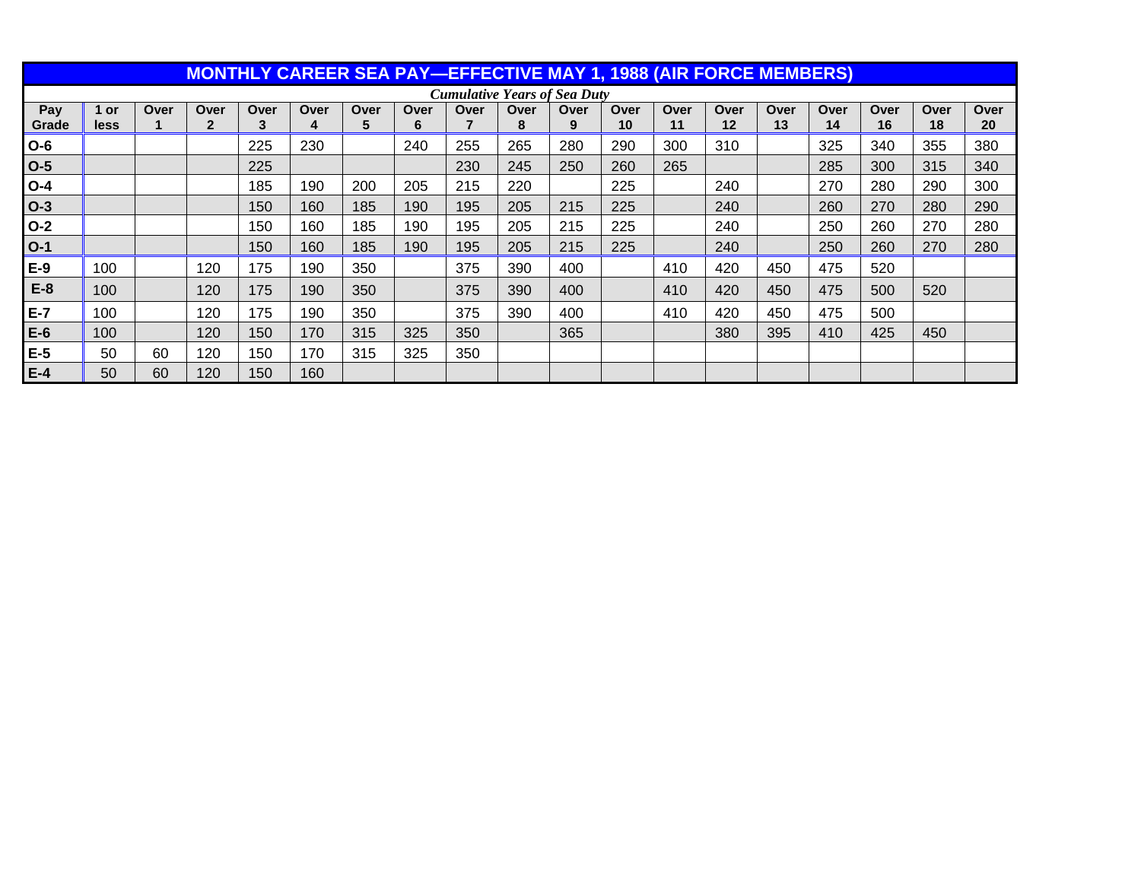|              |              |      |                      |           |           |           |           |      |                                     |           | <b>MONTHLY CAREER SEA PAY—EFFECTIVE MAY 1, 1988 (AIR FORCE MEMBERS)</b> |            |            |            |            |            |            |            |
|--------------|--------------|------|----------------------|-----------|-----------|-----------|-----------|------|-------------------------------------|-----------|-------------------------------------------------------------------------|------------|------------|------------|------------|------------|------------|------------|
|              |              |      |                      |           |           |           |           |      | <b>Cumulative Years of Sea Duty</b> |           |                                                                         |            |            |            |            |            |            |            |
| Pay<br>Grade | l or<br>less | Over | Over<br>$\mathbf{2}$ | Over<br>3 | Over<br>4 | Over<br>5 | Over<br>6 | Over | Over<br>8                           | Over<br>9 | Over<br>10                                                              | Over<br>11 | Over<br>12 | Over<br>13 | Over<br>14 | Over<br>16 | Over<br>18 | Over<br>20 |
| $O-6$        |              |      |                      | 225       | 230       |           | 240       | 255  | 265                                 | 280       | 290                                                                     | 300        | 310        |            | 325        | 340        | 355        | 380        |
| $ O-5 $      |              |      |                      | 225       |           |           |           | 230  | 245                                 | 250       | 260                                                                     | 265        |            |            | 285        | 300        | 315        | 340        |
| $O-4$        |              |      |                      | 185       | 190       | 200       | 205       | 215  | 220                                 |           | 225                                                                     |            | 240        |            | 270        | 280        | 290        | 300        |
| $ O-3 $      |              |      |                      | 150       | 160       | 185       | 190       | 195  | 205                                 | 215       | 225                                                                     |            | 240        |            | 260        | 270        | 280        | 290        |
| $O-2$        |              |      |                      | 150       | 160       | 185       | 190       | 195  | 205                                 | 215       | 225                                                                     |            | 240        |            | 250        | 260        | 270        | 280        |
| $ O-1 $      |              |      |                      | 150       | 160       | 185       | 190       | 195  | 205                                 | 215       | 225                                                                     |            | 240        |            | 250        | 260        | 270        | 280        |
| $E-9$        | 100          |      | 120                  | 175       | 190       | 350       |           | 375  | 390                                 | 400       |                                                                         | 410        | 420        | 450        | 475        | 520        |            |            |
| $E-8$        | 100          |      | 120                  | 175       | 190       | 350       |           | 375  | 390                                 | 400       |                                                                         | 410        | 420        | 450        | 475        | 500        | 520        |            |
| $E-7$        | 100          |      | 120                  | 175       | 190       | 350       |           | 375  | 390                                 | 400       |                                                                         | 410        | 420        | 450        | 475        | 500        |            |            |
| $E-6$        | 100          |      | 120                  | 150       | 170       | 315       | 325       | 350  |                                     | 365       |                                                                         |            | 380        | 395        | 410        | 425        | 450        |            |
| $E-5$        | 50           | 60   | 120                  | 150       | 170       | 315       | 325       | 350  |                                     |           |                                                                         |            |            |            |            |            |            |            |
| $E-4$        | 50           | 60   | 120                  | 150       | 160       |           |           |      |                                     |           |                                                                         |            |            |            |            |            |            |            |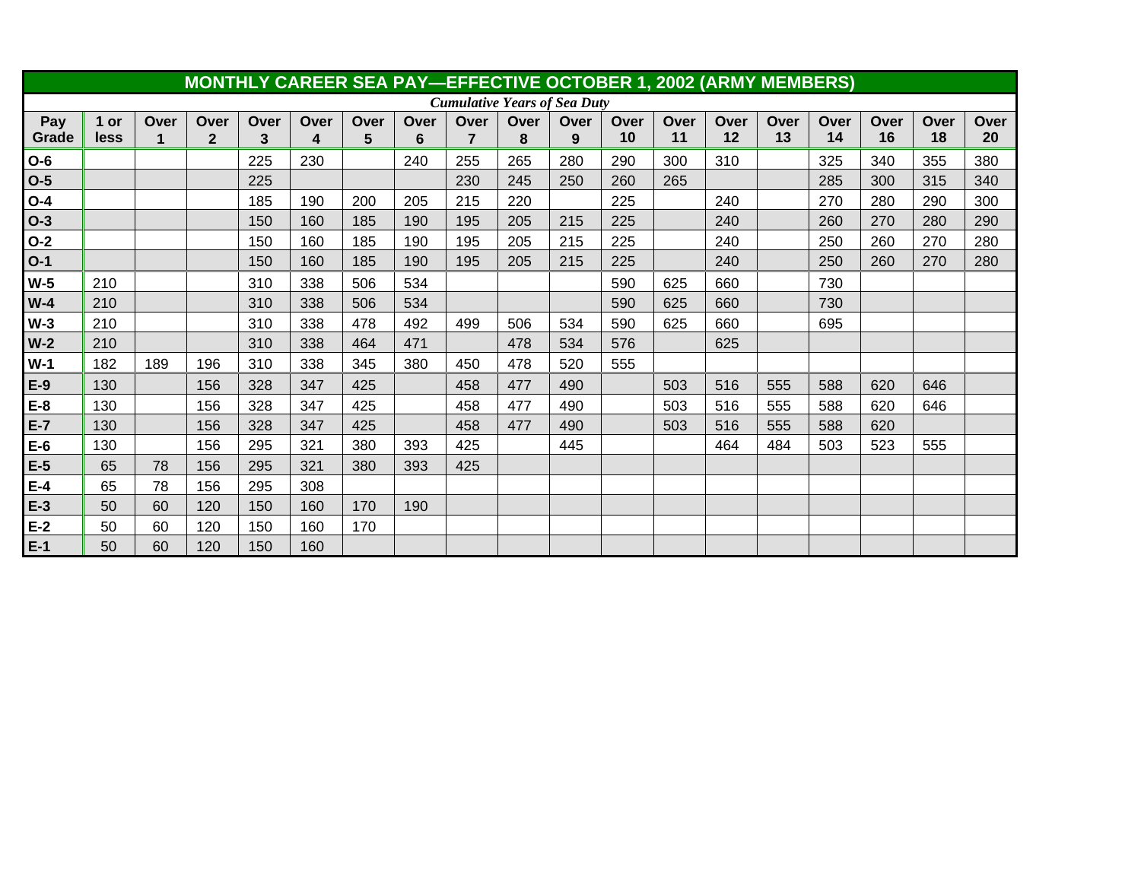|              |              |      |                        |           |           |           |           |                                     |           |           |            | <b>MONTHLY CAREER SEA PAY—EFFECTIVE OCTOBER 1, 2002 (ARMY MEMBERS)</b> |            |            |            |            |            |            |
|--------------|--------------|------|------------------------|-----------|-----------|-----------|-----------|-------------------------------------|-----------|-----------|------------|------------------------------------------------------------------------|------------|------------|------------|------------|------------|------------|
|              |              |      |                        |           |           |           |           | <b>Cumulative Years of Sea Duty</b> |           |           |            |                                                                        |            |            |            |            |            |            |
| Pay<br>Grade | 1 or<br>less | Over | Over<br>$\overline{2}$ | Over<br>3 | Over<br>4 | Over<br>5 | Over<br>6 | Over<br>$\overline{7}$              | Over<br>8 | Over<br>9 | Over<br>10 | Over<br>11                                                             | Over<br>12 | Over<br>13 | Over<br>14 | Over<br>16 | Over<br>18 | Over<br>20 |
| $O-6$        |              |      |                        | 225       | 230       |           | 240       | 255                                 | 265       | 280       | 290        | 300                                                                    | 310        |            | 325        | 340        | 355        | 380        |
| $O-5$        |              |      |                        | 225       |           |           |           | 230                                 | 245       | 250       | 260        | 265                                                                    |            |            | 285        | 300        | 315        | 340        |
| $O-4$        |              |      |                        | 185       | 190       | 200       | 205       | 215                                 | 220       |           | 225        |                                                                        | 240        |            | 270        | 280        | 290        | 300        |
| $O-3$        |              |      |                        | 150       | 160       | 185       | 190       | 195                                 | 205       | 215       | 225        |                                                                        | 240        |            | 260        | 270        | 280        | 290        |
| $O-2$        |              |      |                        | 150       | 160       | 185       | 190       | 195                                 | 205       | 215       | 225        |                                                                        | 240        |            | 250        | 260        | 270        | 280        |
| $O-1$        |              |      |                        | 150       | 160       | 185       | 190       | 195                                 | 205       | 215       | 225        |                                                                        | 240        |            | 250        | 260        | 270        | 280        |
| $W-5$        | 210          |      |                        | 310       | 338       | 506       | 534       |                                     |           |           | 590        | 625                                                                    | 660        |            | 730        |            |            |            |
| $W-4$        | 210          |      |                        | 310       | 338       | 506       | 534       |                                     |           |           | 590        | 625                                                                    | 660        |            | 730        |            |            |            |
| $W-3$        | 210          |      |                        | 310       | 338       | 478       | 492       | 499                                 | 506       | 534       | 590        | 625                                                                    | 660        |            | 695        |            |            |            |
| $W-2$        | 210          |      |                        | 310       | 338       | 464       | 471       |                                     | 478       | 534       | 576        |                                                                        | 625        |            |            |            |            |            |
| $W-1$        | 182          | 189  | 196                    | 310       | 338       | 345       | 380       | 450                                 | 478       | 520       | 555        |                                                                        |            |            |            |            |            |            |
| $E-9$        | 130          |      | 156                    | 328       | 347       | 425       |           | 458                                 | 477       | 490       |            | 503                                                                    | 516        | 555        | 588        | 620        | 646        |            |
| $E-8$        | 130          |      | 156                    | 328       | 347       | 425       |           | 458                                 | 477       | 490       |            | 503                                                                    | 516        | 555        | 588        | 620        | 646        |            |
| $E-7$        | 130          |      | 156                    | 328       | 347       | 425       |           | 458                                 | 477       | 490       |            | 503                                                                    | 516        | 555        | 588        | 620        |            |            |
| $E-6$        | 130          |      | 156                    | 295       | 321       | 380       | 393       | 425                                 |           | 445       |            |                                                                        | 464        | 484        | 503        | 523        | 555        |            |
| $E-5$        | 65           | 78   | 156                    | 295       | 321       | 380       | 393       | 425                                 |           |           |            |                                                                        |            |            |            |            |            |            |
| $E-4$        | 65           | 78   | 156                    | 295       | 308       |           |           |                                     |           |           |            |                                                                        |            |            |            |            |            |            |
| $E-3$        | 50           | 60   | 120                    | 150       | 160       | 170       | 190       |                                     |           |           |            |                                                                        |            |            |            |            |            |            |
| $E-2$        | 50           | 60   | 120                    | 150       | 160       | 170       |           |                                     |           |           |            |                                                                        |            |            |            |            |            |            |
| $E-1$        | 50           | 60   | 120                    | 150       | 160       |           |           |                                     |           |           |            |                                                                        |            |            |            |            |            |            |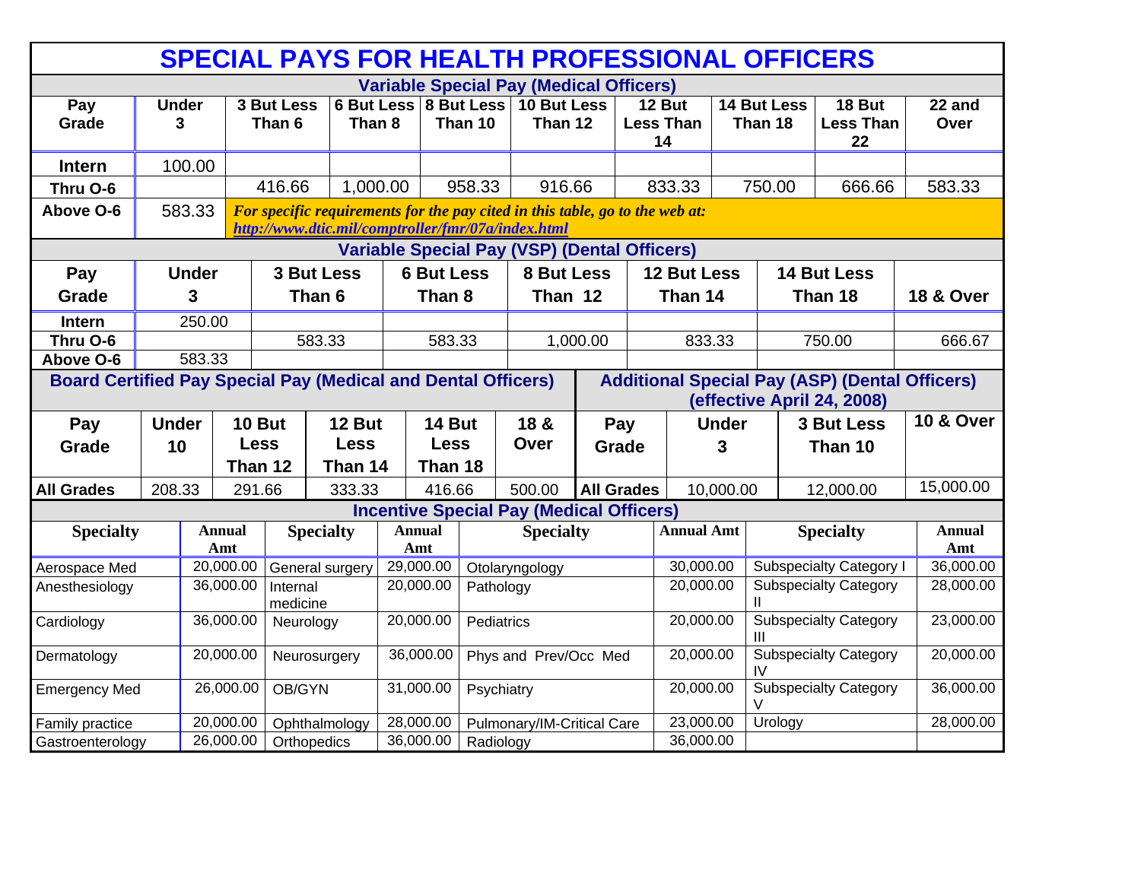|                      |                                                                                      |               |             |                                                    |             |                      |                   |            | <b>SPECIAL PAYS FOR HEALTH PROFESSIONAL OFFICERS</b>                         |          |                   |                                  |              |                        |                                                                                     |                      |
|----------------------|--------------------------------------------------------------------------------------|---------------|-------------|----------------------------------------------------|-------------|----------------------|-------------------|------------|------------------------------------------------------------------------------|----------|-------------------|----------------------------------|--------------|------------------------|-------------------------------------------------------------------------------------|----------------------|
|                      |                                                                                      |               |             |                                                    |             |                      |                   |            | <b>Variable Special Pay (Medical Officers)</b>                               |          |                   |                                  |              |                        |                                                                                     |                      |
| Pay<br>Grade         | <b>Under</b><br>3                                                                    |               |             | 3 But Less<br>Than 6                               | Than 8      |                      |                   | Than 10    | 6 But Less 8 But Less 10 But Less<br>Than 12                                 |          |                   | 12 But<br><b>Less Than</b><br>14 |              | 14 But Less<br>Than 18 | 18 But<br><b>Less Than</b><br>22                                                    | 22 and<br>Over       |
| <b>Intern</b>        |                                                                                      | 100.00        |             |                                                    |             |                      |                   |            |                                                                              |          |                   |                                  |              |                        |                                                                                     |                      |
| Thru O-6             |                                                                                      |               |             | 416.66                                             | 1,000.00    |                      |                   | 958.33     | 916.66                                                                       |          |                   | 833.33                           |              | 750.00                 | 666.66                                                                              | 583.33               |
| Above O-6            |                                                                                      | 583.33        |             | http://www.dtic.mil/comptroller/fmr/07a/index.html |             |                      |                   |            | For specific requirements for the pay cited in this table, go to the web at: |          |                   |                                  |              |                        |                                                                                     |                      |
|                      |                                                                                      |               |             |                                                    |             |                      |                   |            | <b>Variable Special Pay (VSP) (Dental Officers)</b>                          |          |                   |                                  |              |                        |                                                                                     |                      |
| Pay                  |                                                                                      | <b>Under</b>  |             | <b>3 But Less</b>                                  |             |                      | <b>6 But Less</b> |            | 8 But Less                                                                   |          |                   | <b>12 But Less</b>               |              |                        | <b>14 But Less</b>                                                                  |                      |
| Grade                |                                                                                      | 3             |             | Than 6                                             |             |                      | Than 8            |            | Than 12                                                                      |          |                   | Than 14                          |              | Than 18                | <b>18 &amp; Over</b>                                                                |                      |
| Intern               |                                                                                      | 250.00        |             |                                                    |             |                      |                   |            |                                                                              |          |                   |                                  |              |                        |                                                                                     |                      |
| Thru O-6             |                                                                                      |               |             | 583.33                                             |             |                      | 583.33            |            |                                                                              | 1,000.00 |                   | 833.33                           |              |                        | 750.00                                                                              | 666.67               |
| Above O-6            |                                                                                      | 583.33        |             |                                                    |             |                      |                   |            |                                                                              |          |                   |                                  |              |                        |                                                                                     |                      |
|                      | <b>Board Certified Pay Special Pay (Medical and Dental Officers)</b><br><b>Under</b> |               |             |                                                    |             |                      |                   |            |                                                                              |          |                   |                                  |              |                        | <b>Additional Special Pay (ASP) (Dental Officers)</b><br>(effective April 24, 2008) |                      |
| Pay                  |                                                                                      |               | 10 But      |                                                    | 12 But      |                      | <b>14 But</b>     |            | 18 &                                                                         |          | Pay               |                                  | <b>Under</b> |                        | <b>3 But Less</b>                                                                   | <b>10 &amp; Over</b> |
| Grade                | 10                                                                                   |               | <b>Less</b> |                                                    | <b>Less</b> |                      | <b>Less</b>       |            | Over                                                                         |          | Grade             |                                  | 3            |                        | Than 10                                                                             |                      |
|                      |                                                                                      |               | Than 12     |                                                    | Than 14     |                      | Than 18           |            |                                                                              |          |                   |                                  |              |                        |                                                                                     |                      |
| <b>All Grades</b>    | 208.33                                                                               |               | 291.66      |                                                    | 333.33      |                      | 416.66            |            | 500.00                                                                       |          | <b>All Grades</b> |                                  | 10,000.00    |                        | 12,000.00                                                                           | 15,000.00            |
|                      |                                                                                      |               |             |                                                    |             |                      |                   |            | <b>Incentive Special Pay (Medical Officers)</b>                              |          |                   |                                  |              |                        |                                                                                     |                      |
| <b>Specialty</b>     |                                                                                      | Annual<br>Amt |             | <b>Specialty</b>                                   |             | <b>Annual</b><br>Amt |                   |            | <b>Specialty</b>                                                             |          |                   | <b>Annual Amt</b>                |              |                        | <b>Specialty</b>                                                                    | <b>Annual</b><br>Amt |
| Aerospace Med        |                                                                                      | 20,000.00     |             | General surgery                                    |             | 29,000.00            |                   |            | Otolaryngology                                                               |          |                   | 30,000.00                        |              |                        | <b>Subspecialty Category I</b>                                                      | 36,000.00            |
| Anesthesiology       |                                                                                      | 36,000.00     |             | Internal<br>medicine                               |             | 20,000.00            |                   | Pathology  |                                                                              |          |                   | 20,000.00                        |              |                        | <b>Subspecialty Category</b>                                                        | 28,000.00            |
| Cardiology           |                                                                                      | 36,000.00     |             | Neurology                                          |             | 20,000.00            |                   | Pediatrics |                                                                              |          |                   | 20,000.00                        |              |                        | <b>Subspecialty Category</b>                                                        | 23,000.00            |
| Dermatology          |                                                                                      | 20,000.00     |             | Neurosurgery                                       |             | 36,000.00            |                   |            | Phys and Prev/Occ Med                                                        |          |                   | 20,000.00                        |              | IV                     | <b>Subspecialty Category</b>                                                        | 20,000.00            |
| <b>Emergency Med</b> |                                                                                      |               | 26,000.00   | OB/GYN                                             |             | 31,000.00            |                   | Psychiatry |                                                                              |          |                   | 20,000.00                        |              |                        | <b>Subspecialty Category</b>                                                        | 36,000.00            |
| Family practice      |                                                                                      | 20,000.00     |             | Ophthalmology                                      |             | 28,000.00            |                   |            | Pulmonary/IM-Critical Care                                                   |          |                   | 23,000.00                        |              | Urology                |                                                                                     | 28,000.00            |
| Gastroenterology     |                                                                                      | 26,000.00     |             | Orthopedics                                        |             | 36,000.00            |                   | Radiology  |                                                                              |          |                   | 36,000.00                        |              |                        |                                                                                     |                      |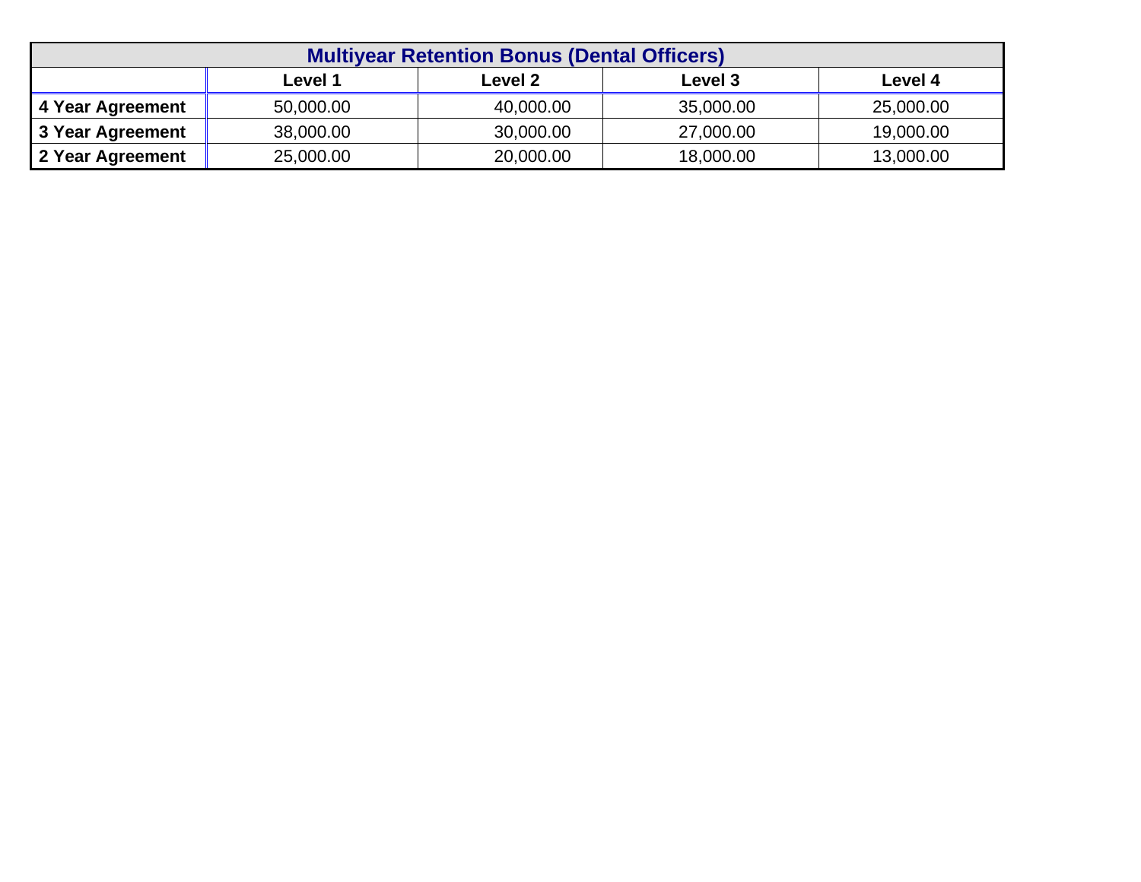|                  |           | <b>Multiyear Retention Bonus (Dental Officers)</b> |           |           |
|------------------|-----------|----------------------------------------------------|-----------|-----------|
|                  | Level 1   | Level 2                                            | Level 3   | Level 4   |
| 4 Year Agreement | 50,000.00 | 40,000.00                                          | 35,000.00 | 25,000.00 |
| 3 Year Agreement | 38,000.00 | 30,000.00                                          | 27,000.00 | 19,000.00 |
| 2 Year Agreement | 25,000.00 | 20,000.00                                          | 18,000.00 | 13,000.00 |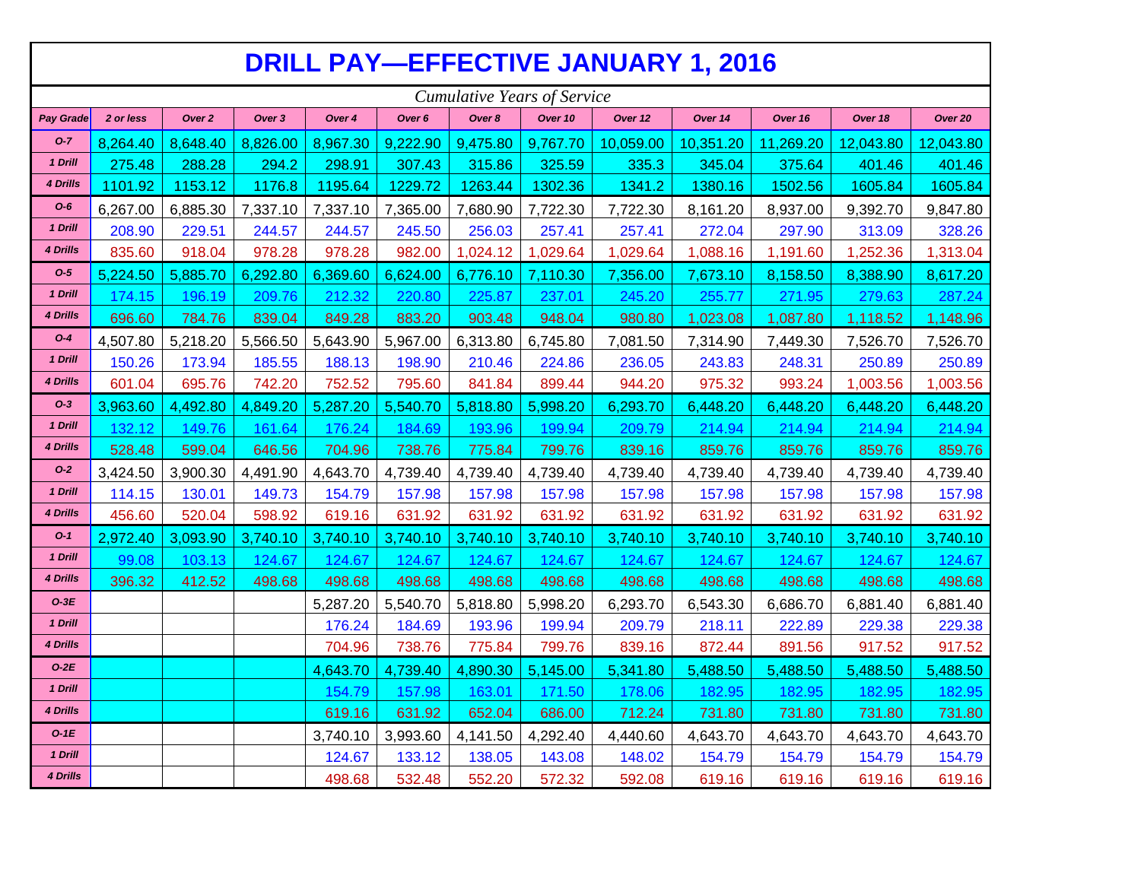|                 |                                                                                                                                                                                                                                                                                                                                   |          |          |          |          |          |          |          | <b>DRILL PAY-EFFECTIVE JANUARY 1, 2016</b> |          |          |          |  |  |  |
|-----------------|-----------------------------------------------------------------------------------------------------------------------------------------------------------------------------------------------------------------------------------------------------------------------------------------------------------------------------------|----------|----------|----------|----------|----------|----------|----------|--------------------------------------------|----------|----------|----------|--|--|--|
|                 | <b>Cumulative Years of Service</b><br>Over 2<br>Over 3<br>Over 4<br>Over 6<br>Over 8<br>Over 10<br>Over 12<br>Over 14<br>Over 16<br>Over 20<br>2 or less<br>Over 18<br>$O-7$<br>8,826.00<br>8,967.30<br>9,222.90<br>9,475.80<br>8,264.40<br>8,648.40<br>9,767.70<br>10,059.00<br>10,351.20<br>11,269.20<br>12,043.80<br>12,043.80 |          |          |          |          |          |          |          |                                            |          |          |          |  |  |  |
| Pay Grade       |                                                                                                                                                                                                                                                                                                                                   |          |          |          |          |          |          |          |                                            |          |          |          |  |  |  |
|                 |                                                                                                                                                                                                                                                                                                                                   |          |          |          |          |          |          |          |                                            |          |          |          |  |  |  |
| 1 Drill         | 275.48                                                                                                                                                                                                                                                                                                                            | 288.28   | 294.2    | 298.91   | 307.43   | 315.86   | 325.59   | 335.3    | 345.04                                     | 375.64   | 401.46   | 401.46   |  |  |  |
| 4 Drills        | 1101.92                                                                                                                                                                                                                                                                                                                           | 1153.12  | 1176.8   | 1195.64  | 1229.72  | 1263.44  | 1302.36  | 1341.2   | 1380.16                                    | 1502.56  | 1605.84  | 1605.84  |  |  |  |
| $O-6$           | 6,267.00                                                                                                                                                                                                                                                                                                                          | 6,885.30 | 7,337.10 | 7,337.10 | 7,365.00 | 7,680.90 | 7,722.30 | 7,722.30 | 8,161.20                                   | 8,937.00 | 9,392.70 | 9,847.80 |  |  |  |
| 1 Drill         | 208.90                                                                                                                                                                                                                                                                                                                            | 229.51   | 244.57   | 244.57   | 245.50   | 256.03   | 257.41   | 257.41   | 272.04                                     | 297.90   | 313.09   | 328.26   |  |  |  |
| 4 Drills        | 835.60                                                                                                                                                                                                                                                                                                                            | 918.04   | 978.28   | 978.28   | 982.00   | 1,024.12 | 1,029.64 | 1,029.64 | 1,088.16                                   | 1,191.60 | 1,252.36 | 1,313.04 |  |  |  |
| $O-5$           | 5,224.50                                                                                                                                                                                                                                                                                                                          | 5,885.70 | 6,292.80 | 6,369.60 | 6,624.00 | 6,776.10 | 7,110.30 | 7,356.00 | 7,673.10                                   | 8,158.50 | 8,388.90 | 8,617.20 |  |  |  |
| 1 Drill         | 174.15                                                                                                                                                                                                                                                                                                                            | 196.19   | 209.76   | 212.32   | 220.80   | 225.87   | 237.01   | 245.20   | 255.77                                     | 271.95   | 279.63   | 287.24   |  |  |  |
| 4 Drills        | 696.60                                                                                                                                                                                                                                                                                                                            | 784.76   | 839.04   | 849.28   | 883.20   | 903.48   | 948.04   | 980.80   | 1,023.08                                   | 1,087.80 | 1,118.52 | 1,148.96 |  |  |  |
| $O-4$           | 4,507.80                                                                                                                                                                                                                                                                                                                          | 5,218.20 | 5,566.50 | 5,643.90 | 5,967.00 | 6,313.80 | 6,745.80 | 7,081.50 | 7,314.90                                   | 7,449.30 | 7,526.70 | 7,526.70 |  |  |  |
| 1 Drill         | 150.26                                                                                                                                                                                                                                                                                                                            | 173.94   | 185.55   | 188.13   | 198.90   | 210.46   | 224.86   | 236.05   | 243.83                                     | 248.31   | 250.89   | 250.89   |  |  |  |
| 4 Drills        | 601.04                                                                                                                                                                                                                                                                                                                            | 695.76   | 742.20   | 752.52   | 795.60   | 841.84   | 899.44   | 944.20   | 975.32                                     | 993.24   | 1,003.56 | 1,003.56 |  |  |  |
| $O-3$           | 3,963.60                                                                                                                                                                                                                                                                                                                          | 4,492.80 | 4,849.20 | 5,287.20 | 5,540.70 | 5,818.80 | 5,998.20 | 6,293.70 | 6,448.20                                   | 6,448.20 | 6,448.20 | 6,448.20 |  |  |  |
| 1 Drill         | 132.12                                                                                                                                                                                                                                                                                                                            | 149.76   | 161.64   | 176.24   | 184.69   | 193.96   | 199.94   | 209.79   | 214.94                                     | 214.94   | 214.94   | 214.94   |  |  |  |
| 4 Drills        | 528.48                                                                                                                                                                                                                                                                                                                            | 599.04   | 646.56   | 704.96   | 738.76   | 775.84   | 799.76   | 839.16   | 859.76                                     | 859.76   | 859.76   | 859.76   |  |  |  |
| $O-2$           | 3,424.50                                                                                                                                                                                                                                                                                                                          | 3,900.30 | 4,491.90 | 4,643.70 | 4,739.40 | 4,739.40 | 4,739.40 | 4,739.40 | 4,739.40                                   | 4,739.40 | 4,739.40 | 4,739.40 |  |  |  |
| 1 Drill         | 114.15                                                                                                                                                                                                                                                                                                                            | 130.01   | 149.73   | 154.79   | 157.98   | 157.98   | 157.98   | 157.98   | 157.98                                     | 157.98   | 157.98   | 157.98   |  |  |  |
| 4 Drills        | 456.60                                                                                                                                                                                                                                                                                                                            | 520.04   | 598.92   | 619.16   | 631.92   | 631.92   | 631.92   | 631.92   | 631.92                                     | 631.92   | 631.92   | 631.92   |  |  |  |
| $O-1$           | 2,972.40                                                                                                                                                                                                                                                                                                                          | 3,093.90 | 3,740.10 | 3,740.10 | 3,740.10 | 3,740.10 | 3,740.10 | 3,740.10 | 3,740.10                                   | 3,740.10 | 3,740.10 | 3,740.10 |  |  |  |
| 1 Drill         | 99.08                                                                                                                                                                                                                                                                                                                             | 103.13   | 124.67   | 124.67   | 124.67   | 124.67   | 124.67   | 124.67   | 124.67                                     | 124.67   | 124.67   | 124.67   |  |  |  |
| 4 Drills        | 396.32                                                                                                                                                                                                                                                                                                                            | 412.52   | 498.68   | 498.68   | 498.68   | 498.68   | 498.68   | 498.68   | 498.68                                     | 498.68   | 498.68   | 498.68   |  |  |  |
| $O-3E$          |                                                                                                                                                                                                                                                                                                                                   |          |          | 5,287.20 | 5,540.70 | 5,818.80 | 5,998.20 | 6,293.70 | 6,543.30                                   | 6,686.70 | 6,881.40 | 6,881.40 |  |  |  |
| 1 Drill         |                                                                                                                                                                                                                                                                                                                                   |          |          | 176.24   | 184.69   | 193.96   | 199.94   | 209.79   | 218.11                                     | 222.89   | 229.38   | 229.38   |  |  |  |
| <b>4 Drills</b> |                                                                                                                                                                                                                                                                                                                                   |          |          | 704.96   | 738.76   | 775.84   | 799.76   | 839.16   | 872.44                                     | 891.56   | 917.52   | 917.52   |  |  |  |
| $O-2E$          |                                                                                                                                                                                                                                                                                                                                   |          |          | 4,643.70 | 4,739.40 | 4,890.30 | 5,145.00 | 5,341.80 | 5,488.50                                   | 5,488.50 | 5,488.50 | 5,488.50 |  |  |  |
| 1 Drill         |                                                                                                                                                                                                                                                                                                                                   |          |          | 154.79   | 157.98   | 163.01   | 171.50   | 178.06   | 182.95                                     | 182.95   | 182.95   | 182.95   |  |  |  |
| 4 Drills        |                                                                                                                                                                                                                                                                                                                                   |          |          | 619.16   | 631.92   | 652.04   | 686.00   | 712.24   | 731.80                                     | 731.80   | 731.80   | 731.80   |  |  |  |
| $O-1E$          |                                                                                                                                                                                                                                                                                                                                   |          |          | 3,740.10 | 3,993.60 | 4,141.50 | 4,292.40 | 4,440.60 | 4,643.70                                   | 4,643.70 | 4,643.70 | 4,643.70 |  |  |  |
| 1 Drill         |                                                                                                                                                                                                                                                                                                                                   |          |          | 124.67   | 133.12   | 138.05   | 143.08   | 148.02   | 154.79                                     | 154.79   | 154.79   | 154.79   |  |  |  |
| 4 Drills        |                                                                                                                                                                                                                                                                                                                                   |          |          | 498.68   | 532.48   | 552.20   | 572.32   | 592.08   | 619.16                                     | 619.16   | 619.16   | 619.16   |  |  |  |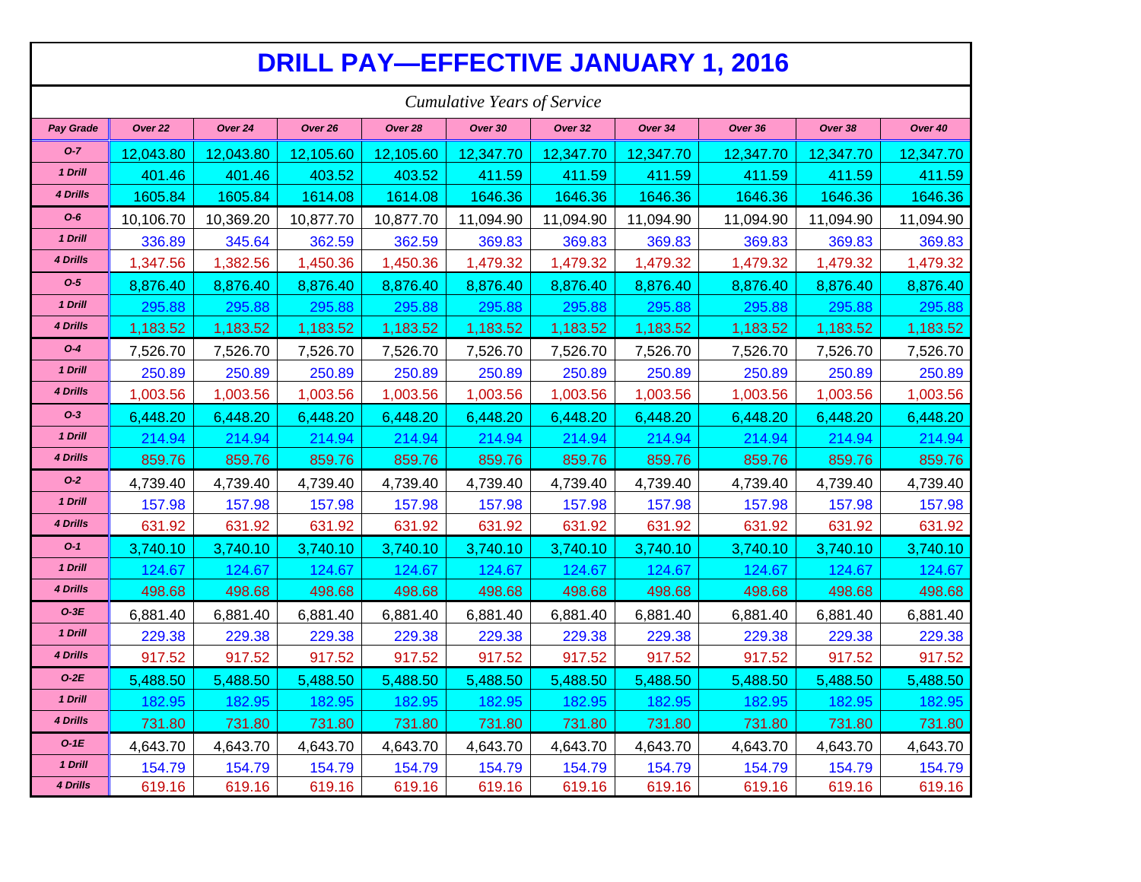|                  |           |           |           |           |                                    |           |           | <b>DRILL PAY-EFFECTIVE JANUARY 1, 2016</b> |           |           |
|------------------|-----------|-----------|-----------|-----------|------------------------------------|-----------|-----------|--------------------------------------------|-----------|-----------|
|                  |           |           |           |           | <b>Cumulative Years of Service</b> |           |           |                                            |           |           |
| <b>Pay Grade</b> | Over 22   | Over 24   | Over 26   | Over 28   | Over 30                            | Over 32   | Over 34   | Over 36                                    | Over 38   | Over 40   |
| $O-7$            | 12,043.80 | 12,043.80 | 12,105.60 | 12,105.60 | 12,347.70                          | 12,347.70 | 12,347.70 | 12,347.70                                  | 12,347.70 | 12,347.70 |
| 1 Drill          | 401.46    | 401.46    | 403.52    | 403.52    | 411.59                             | 411.59    | 411.59    | 411.59                                     | 411.59    | 411.59    |
| 4 Drills         | 1605.84   | 1605.84   | 1614.08   | 1614.08   | 1646.36                            | 1646.36   | 1646.36   | 1646.36                                    | 1646.36   | 1646.36   |
| $O-6$            | 10,106.70 | 10,369.20 | 10,877.70 | 10,877.70 | 11,094.90                          | 11,094.90 | 11,094.90 | 11,094.90                                  | 11,094.90 | 11,094.90 |
| 1 Drill          | 336.89    | 345.64    | 362.59    | 362.59    | 369.83                             | 369.83    | 369.83    | 369.83                                     | 369.83    | 369.83    |
| 4 Drills         | 1,347.56  | 1,382.56  | 1,450.36  | 1,450.36  | 1,479.32                           | 1,479.32  | 1,479.32  | 1,479.32                                   | 1,479.32  | 1,479.32  |
| $O-5$            | 8,876.40  | 8,876.40  | 8,876.40  | 8,876.40  | 8,876.40                           | 8,876.40  | 8,876.40  | 8,876.40                                   | 8,876.40  | 8,876.40  |
| 1 Drill          | 295.88    | 295.88    | 295.88    | 295.88    | 295.88                             | 295.88    | 295.88    | 295.88                                     | 295.88    | 295.88    |
| 4 Drills         | 1,183.52  | 1,183.52  | 1,183.52  | 1,183.52  | 1,183.52                           | 1,183.52  | 1,183.52  | 1,183.52                                   | 1,183.52  | 1,183.52  |
| $O-4$            | 7,526.70  | 7,526.70  | 7,526.70  | 7,526.70  | 7,526.70                           | 7,526.70  | 7,526.70  | 7,526.70                                   | 7,526.70  | 7,526.70  |
| 1 Drill          | 250.89    | 250.89    | 250.89    | 250.89    | 250.89                             | 250.89    | 250.89    | 250.89                                     | 250.89    | 250.89    |
| 4 Drills         | 1,003.56  | 1,003.56  | 1,003.56  | 1,003.56  | 1,003.56                           | 1,003.56  | 1,003.56  | 1,003.56                                   | 1,003.56  | 1,003.56  |
| $O-3$            | 6,448.20  | 6,448.20  | 6,448.20  | 6,448.20  | 6,448.20                           | 6,448.20  | 6,448.20  | 6,448.20                                   | 6,448.20  | 6,448.20  |
| 1 Drill          | 214.94    | 214.94    | 214.94    | 214.94    | 214.94                             | 214.94    | 214.94    | 214.94                                     | 214.94    | 214.94    |
| 4 Drills         | 859.76    | 859.76    | 859.76    | 859.76    | 859.76                             | 859.76    | 859.76    | 859.76                                     | 859.76    | 859.76    |
| $O-2$            | 4,739.40  | 4,739.40  | 4,739.40  | 4,739.40  | 4,739.40                           | 4,739.40  | 4,739.40  | 4,739.40                                   | 4,739.40  | 4,739.40  |
| 1 Drill          | 157.98    | 157.98    | 157.98    | 157.98    | 157.98                             | 157.98    | 157.98    | 157.98                                     | 157.98    | 157.98    |
| 4 Drills         | 631.92    | 631.92    | 631.92    | 631.92    | 631.92                             | 631.92    | 631.92    | 631.92                                     | 631.92    | 631.92    |
| $O-1$            | 3,740.10  | 3,740.10  | 3,740.10  | 3,740.10  | 3,740.10                           | 3,740.10  | 3,740.10  | 3,740.10                                   | 3,740.10  | 3,740.10  |
| 1 Drill          | 124.67    | 124.67    | 124.67    | 124.67    | 124.67                             | 124.67    | 124.67    | 124.67                                     | 124.67    | 124.67    |
| 4 Drills         | 498.68    | 498.68    | 498.68    | 498.68    | 498.68                             | 498.68    | 498.68    | 498.68                                     | 498.68    | 498.68    |
| $O-3E$           | 6,881.40  | 6,881.40  | 6,881.40  | 6,881.40  | 6,881.40                           | 6,881.40  | 6,881.40  | 6,881.40                                   | 6,881.40  | 6,881.40  |
| 1 Drill          | 229.38    | 229.38    | 229.38    | 229.38    | 229.38                             | 229.38    | 229.38    | 229.38                                     | 229.38    | 229.38    |
| 4 Drills         | 917.52    | 917.52    | 917.52    | 917.52    | 917.52                             | 917.52    | 917.52    | 917.52                                     | 917.52    | 917.52    |
| $O-2E$           | 5,488.50  | 5,488.50  | 5,488.50  | 5,488.50  | 5,488.50                           | 5,488.50  | 5,488.50  | 5,488.50                                   | 5,488.50  | 5,488.50  |
| 1 Drill          | 182.95    | 182.95    | 182.95    | 182.95    | 182.95                             | 182.95    | 182.95    | 182.95                                     | 182.95    | 182.95    |
| 4 Drills         | 731.80    | 731.80    | 731.80    | 731.80    | 731.80                             | 731.80    | 731.80    | 731.80                                     | 731.80    | 731.80    |
| $O-1E$           | 4,643.70  | 4,643.70  | 4,643.70  | 4,643.70  | 4,643.70                           | 4,643.70  | 4,643.70  | 4,643.70                                   | 4,643.70  | 4,643.70  |
| 1 Drill          | 154.79    | 154.79    | 154.79    | 154.79    | 154.79                             | 154.79    | 154.79    | 154.79                                     | 154.79    | 154.79    |
| 4 Drills         | 619.16    | 619.16    | 619.16    | 619.16    | 619.16                             | 619.16    | 619.16    | 619.16                                     | 619.16    | 619.16    |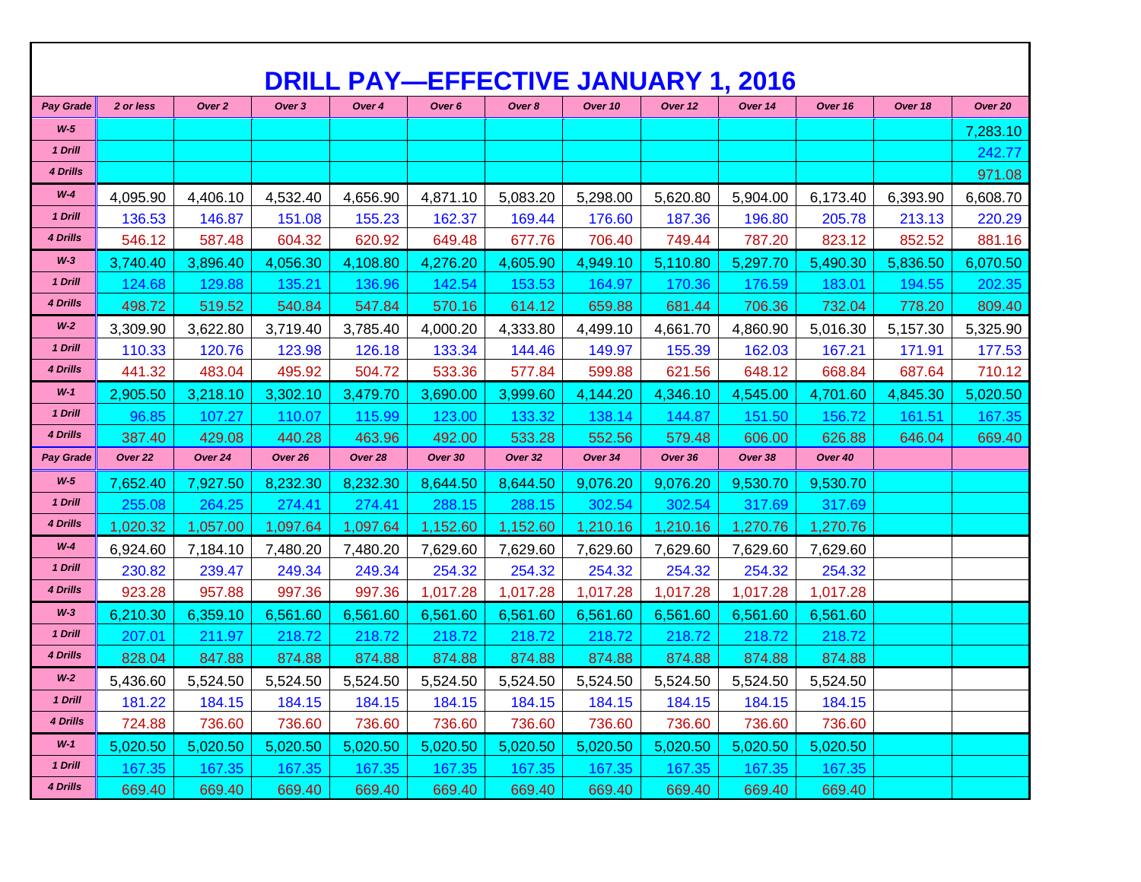| <b>DRILL PAY—EFFECTIVE JANUARY 1, 2016</b> |                    |          |          |          |                   |          |          |          |          |          |          |                    |
|--------------------------------------------|--------------------|----------|----------|----------|-------------------|----------|----------|----------|----------|----------|----------|--------------------|
| <b>Pay Grade</b>                           | 2 or less          | Over 2   | Over 3   | Over 4   | Over <sub>6</sub> | Over 8   | Over 10  | Over 12  | Over 14  | Over 16  | Over 18  | Over <sub>20</sub> |
| $W-5$                                      |                    |          |          |          |                   |          |          |          |          |          |          | 7,283.10           |
| 1 Drill                                    |                    |          |          |          |                   |          |          |          |          |          |          | 242.77             |
| 4 Drills                                   |                    |          |          |          |                   |          |          |          |          |          |          | 971.08             |
| $W-4$                                      | 4,095.90           | 4,406.10 | 4,532.40 | 4,656.90 | 4,871.10          | 5,083.20 | 5,298.00 | 5,620.80 | 5,904.00 | 6,173.40 | 6,393.90 | 6,608.70           |
| 1 Drill                                    | 136.53             | 146.87   | 151.08   | 155.23   | 162.37            | 169.44   | 176.60   | 187.36   | 196.80   | 205.78   | 213.13   | 220.29             |
| 4 Drills                                   | 546.12             | 587.48   | 604.32   | 620.92   | 649.48            | 677.76   | 706.40   | 749.44   | 787.20   | 823.12   | 852.52   | 881.16             |
| $W-3$                                      | 3,740.40           | 3,896.40 | 4,056.30 | 4,108.80 | 4,276.20          | 4,605.90 | 4,949.10 | 5,110.80 | 5,297.70 | 5,490.30 | 5,836.50 | 6,070.50           |
| 1 Drill                                    | 124.68             | 129.88   | 135.21   | 136.96   | 142.54            | 153.53   | 164.97   | 170.36   | 176.59   | 183.01   | 194.55   | 202.35             |
| <b>4 Drills</b>                            | 498.72             | 519.52   | 540.84   | 547.84   | 570.16            | 614.12   | 659.88   | 681.44   | 706.36   | 732.04   | 778.20   | 809.40             |
| $W-2$                                      | 3,309.90           | 3,622.80 | 3,719.40 | 3,785.40 | 4,000.20          | 4,333.80 | 4,499.10 | 4,661.70 | 4,860.90 | 5,016.30 | 5,157.30 | 5,325.90           |
| 1 Drill                                    | 110.33             | 120.76   | 123.98   | 126.18   | 133.34            | 144.46   | 149.97   | 155.39   | 162.03   | 167.21   | 171.91   | 177.53             |
| 4 Drills                                   | 441.32             | 483.04   | 495.92   | 504.72   | 533.36            | 577.84   | 599.88   | 621.56   | 648.12   | 668.84   | 687.64   | 710.12             |
| $W-1$                                      | 2,905.50           | 3,218.10 | 3,302.10 | 3,479.70 | 3,690.00          | 3,999.60 | 4,144.20 | 4,346.10 | 4,545.00 | 4,701.60 | 4,845.30 | 5,020.50           |
| 1 Drill                                    | 96.85              | 107.27   | 110.07   | 115.99   | 123.00            | 133.32   | 138.14   | 144.87   | 151.50   | 156.72   | 161.51   | 167.35             |
| 4 Drills                                   | 387.40             | 429.08   | 440.28   | 463.96   | 492.00            | 533.28   | 552.56   | 579.48   | 606.00   | 626.88   | 646.04   | 669.40             |
| <b>Pay Grade</b>                           | Over <sub>22</sub> | Over 24  | Over 26  | Over 28  | Over 30           | Over 32  | Over 34  | Over 36  | Over 38  | Over 40  |          |                    |
| $W-5$                                      | 7,652.40           | 7,927.50 | 8,232.30 | 8,232.30 | 8,644.50          | 8,644.50 | 9,076.20 | 9,076.20 | 9,530.70 | 9.530.70 |          |                    |
| 1 Drill                                    | 255.08             | 264.25   | 274.41   | 274.41   | 288.15            | 288.15   | 302.54   | 302.54   | 317.69   | 317.69   |          |                    |
| 4 Drills                                   | 1,020.32           | 1,057.00 | 1,097.64 | 1,097.64 | 1,152.60          | 1,152.60 | 1,210.16 | 1,210.16 | 1,270.76 | 1,270.76 |          |                    |
| $W-4$                                      | 6,924.60           | 7,184.10 | 7,480.20 | 7,480.20 | 7,629.60          | 7,629.60 | 7,629.60 | 7,629.60 | 7,629.60 | 7,629.60 |          |                    |
| 1 Drill                                    | 230.82             | 239.47   | 249.34   | 249.34   | 254.32            | 254.32   | 254.32   | 254.32   | 254.32   | 254.32   |          |                    |
| 4 Drills                                   | 923.28             | 957.88   | 997.36   | 997.36   | 1,017.28          | 1,017.28 | 1,017.28 | 1,017.28 | 1,017.28 | 1,017.28 |          |                    |
| $W-3$                                      | 6,210.30           | 6,359.10 | 6,561.60 | 6,561.60 | 6,561.60          | 6,561.60 | 6,561.60 | 6,561.60 | 6,561.60 | 6,561.60 |          |                    |
| 1 Drill                                    | 207.01             | 211.97   | 218.72   | 218.72   | 218.72            | 218.72   | 218.72   | 218.72   | 218.72   | 218.72   |          |                    |
| 4 Drills                                   | 828.04             | 847.88   | 874.88   | 874.88   | 874.88            | 874.88   | 874.88   | 874.88   | 874.88   | 874.88   |          |                    |
| $W-2$                                      | 5,436.60           | 5,524.50 | 5,524.50 | 5,524.50 | 5,524.50          | 5,524.50 | 5,524.50 | 5,524.50 | 5,524.50 | 5,524.50 |          |                    |
| 1 Drill                                    | 181.22             | 184.15   | 184.15   | 184.15   | 184.15            | 184.15   | 184.15   | 184.15   | 184.15   | 184.15   |          |                    |
| 4 Drills                                   | 724.88             | 736.60   | 736.60   | 736.60   | 736.60            | 736.60   | 736.60   | 736.60   | 736.60   | 736.60   |          |                    |
| $W-1$                                      | 5,020.50           | 5,020.50 | 5,020.50 | 5,020.50 | 5,020.50          | 5,020.50 | 5,020.50 | 5,020.50 | 5,020.50 | 5,020.50 |          |                    |
| 1 Drill                                    | 167.35             | 167.35   | 167.35   | 167.35   | 167.35            | 167.35   | 167.35   | 167.35   | 167.35   | 167.35   |          |                    |
| 4 Drills                                   | 669.40             | 669.40   | 669.40   | 669.40   | 669.40            | 669.40   | 669.40   | 669.40   | 669.40   | 669.40   |          |                    |

 $\blacksquare$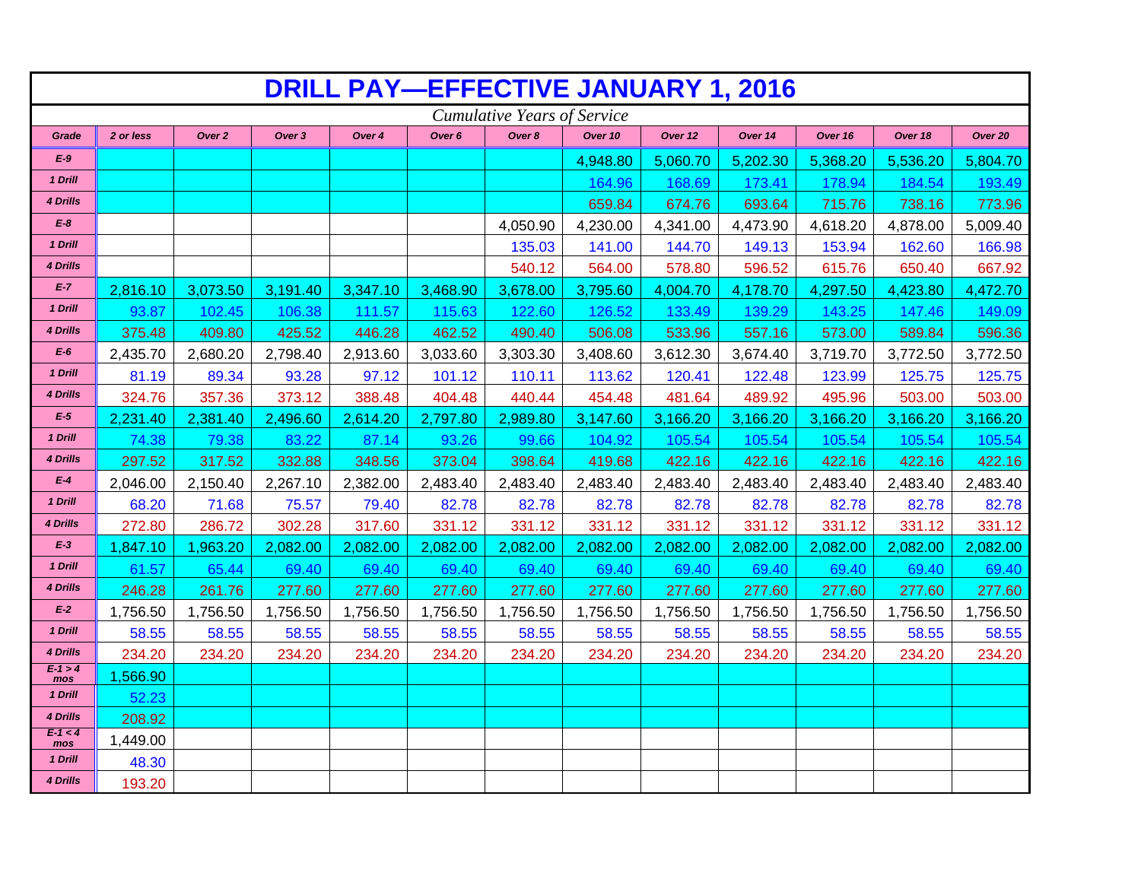| <b>DRILL PAY-EFFECTIVE JANUARY 1, 2016</b> |           |          |          |          |          |          |          |          |          |          |          |          |
|--------------------------------------------|-----------|----------|----------|----------|----------|----------|----------|----------|----------|----------|----------|----------|
| <b>Cumulative Years of Service</b>         |           |          |          |          |          |          |          |          |          |          |          |          |
| Grade                                      | 2 or less | Over 2   | Over 3   | Over 4   | Over 6   | Over 8   | Over 10  | Over 12  | Over 14  | Over 16  | Over 18  | Over 20  |
| $E-9$                                      |           |          |          |          |          |          | 4,948.80 | 5,060.70 | 5,202.30 | 5,368.20 | 5.536.20 | 5,804.70 |
| 1 Drill                                    |           |          |          |          |          |          | 164.96   | 168.69   | 173.41   | 178.94   | 184.54   | 193.49   |
| 4 Drills                                   |           |          |          |          |          |          | 659.84   | 674.76   | 693.64   | 715.76   | 738.16   | 773.96   |
| $E-8$                                      |           |          |          |          |          | 4,050.90 | 4,230.00 | 4,341.00 | 4,473.90 | 4,618.20 | 4,878.00 | 5,009.40 |
| 1 Drill                                    |           |          |          |          |          | 135.03   | 141.00   | 144.70   | 149.13   | 153.94   | 162.60   | 166.98   |
| 4 Drills                                   |           |          |          |          |          | 540.12   | 564.00   | 578.80   | 596.52   | 615.76   | 650.40   | 667.92   |
| $E-7$                                      | 2,816.10  | 3,073.50 | 3,191.40 | 3,347.10 | 3,468.90 | 3,678.00 | 3,795.60 | 4,004.70 | 4,178.70 | 4,297.50 | 4,423.80 | 4,472.70 |
| 1 Drill                                    | 93.87     | 102.45   | 106.38   | 111.57   | 115.63   | 122.60   | 126.52   | 133.49   | 139.29   | 143.25   | 147.46   | 149.09   |
| 4 Drills                                   | 375.48    | 409.80   | 425.52   | 446.28   | 462.52   | 490.40   | 506.08   | 533.96   | 557.16   | 573.00   | 589.84   | 596.36   |
| $E-6$                                      | 2,435.70  | 2,680.20 | 2,798.40 | 2,913.60 | 3,033.60 | 3,303.30 | 3,408.60 | 3,612.30 | 3,674.40 | 3,719.70 | 3,772.50 | 3,772.50 |
| 1 Drill                                    | 81.19     | 89.34    | 93.28    | 97.12    | 101.12   | 110.11   | 113.62   | 120.41   | 122.48   | 123.99   | 125.75   | 125.75   |
| 4 Drills                                   | 324.76    | 357.36   | 373.12   | 388.48   | 404.48   | 440.44   | 454.48   | 481.64   | 489.92   | 495.96   | 503.00   | 503.00   |
| $E-5$                                      | 2,231.40  | 2,381.40 | 2,496.60 | 2,614.20 | 2,797.80 | 2,989.80 | 3,147.60 | 3,166.20 | 3,166.20 | 3,166.20 | 3,166.20 | 3,166.20 |
| 1 Drill                                    | 74.38     | 79.38    | 83.22    | 87.14    | 93.26    | 99.66    | 104.92   | 105.54   | 105.54   | 105.54   | 105.54   | 105.54   |
| 4 Drills                                   | 297.52    | 317.52   | 332.88   | 348.56   | 373.04   | 398.64   | 419.68   | 422.16   | 422.16   | 422.16   | 422.16   | 422.16   |
| $E-4$                                      | 2,046.00  | 2,150.40 | 2,267.10 | 2,382.00 | 2,483.40 | 2,483.40 | 2,483.40 | 2,483.40 | 2,483.40 | 2,483.40 | 2,483.40 | 2,483.40 |
| 1 Drill                                    | 68.20     | 71.68    | 75.57    | 79.40    | 82.78    | 82.78    | 82.78    | 82.78    | 82.78    | 82.78    | 82.78    | 82.78    |
| 4 Drills                                   | 272.80    | 286.72   | 302.28   | 317.60   | 331.12   | 331.12   | 331.12   | 331.12   | 331.12   | 331.12   | 331.12   | 331.12   |
| $E-3$                                      | 1,847.10  | 1,963.20 | 2,082.00 | 2,082.00 | 2,082.00 | 2,082.00 | 2,082.00 | 2,082.00 | 2,082.00 | 2,082.00 | 2,082.00 | 2,082.00 |
| 1 Drill                                    | 61.57     | 65.44    | 69.40    | 69.40    | 69.40    | 69.40    | 69.40    | 69.40    | 69.40    | 69.40    | 69.40    | 69.40    |
| 4 Drills                                   | 246.28    | 261.76   | 277.60   | 277.60   | 277.60   | 277.60   | 277.60   | 277.60   | 277.60   | 277.60   | 277.60   | 277.60   |
| $E-2$                                      | 1,756.50  | 1,756.50 | 1,756.50 | 1,756.50 | 1,756.50 | 1,756.50 | 1,756.50 | 1,756.50 | 1,756.50 | 1,756.50 | 1,756.50 | 1,756.50 |
| 1 Drill                                    | 58.55     | 58.55    | 58.55    | 58.55    | 58.55    | 58.55    | 58.55    | 58.55    | 58.55    | 58.55    | 58.55    | 58.55    |
| 4 Drills                                   | 234.20    | 234.20   | 234.20   | 234.20   | 234.20   | 234.20   | 234.20   | 234.20   | 234.20   | 234.20   | 234.20   | 234.20   |
| $E - 1 > 4$<br>mos                         | 1,566.90  |          |          |          |          |          |          |          |          |          |          |          |
| 1 Drill                                    | 52.23     |          |          |          |          |          |          |          |          |          |          |          |
| 4 Drills                                   | 208.92    |          |          |          |          |          |          |          |          |          |          |          |
| $E-1 < 4$<br>mos                           | 1,449.00  |          |          |          |          |          |          |          |          |          |          |          |
| 1 Drill                                    | 48.30     |          |          |          |          |          |          |          |          |          |          |          |
| 4 Drills                                   | 193.20    |          |          |          |          |          |          |          |          |          |          |          |